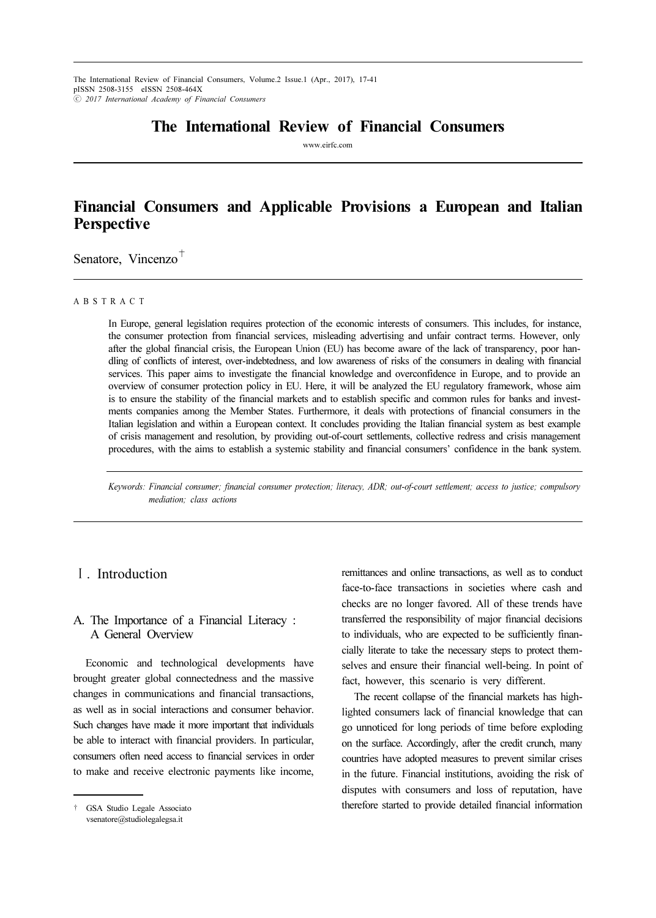The International Review of Financial Consumers, Volume.2 Issue.1 (Apr., 2017), 17-41 pISSN 2508-3155 eISSN 2508-464X ⓒ 2017 International Academy of Financial Consumers

# The International Review of Financial Consumers

www.eirfc.com

# Financial Consumers and Applicable Provisions a European and Italian **Perspective**

Senatore, Vincenzo<sup>†</sup>

## A B S T R A C T

In Europe, general legislation requires protection of the economic interests of consumers. This includes, for instance, the consumer protection from financial services, misleading advertising and unfair contract terms. However, only after the global financial crisis, the European Union (EU) has become aware of the lack of transparency, poor handling of conflicts of interest, over-indebtedness, and low awareness of risks of the consumers in dealing with financial services. This paper aims to investigate the financial knowledge and overconfidence in Europe, and to provide an overview of consumer protection policy in EU. Here, it will be analyzed the EU regulatory framework, whose aim is to ensure the stability of the financial markets and to establish specific and common rules for banks and investments companies among the Member States. Furthermore, it deals with protections of financial consumers in the Italian legislation and within a European context. It concludes providing the Italian financial system as best example of crisis management and resolution, by providing out-of-court settlements, collective redress and crisis management procedures, with the aims to establish a systemic stability and financial consumers' confidence in the bank system.

Keywords: Financial consumer; financial consumer protection; literacy, ADR; out-of-court settlement; access to justice; compulsory mediation; class actions

## Ⅰ. Introduction

## A. The Importance of a Financial Literacy : A General Overview

Economic and technological developments have brought greater global connectedness and the massive changes in communications and financial transactions, as well as in social interactions and consumer behavior. Such changes have made it more important that individuals be able to interact with financial providers. In particular, consumers often need access to financial services in order to make and receive electronic payments like income, remittances and online transactions, as well as to conduct face-to-face transactions in societies where cash and checks are no longer favored. All of these trends have transferred the responsibility of major financial decisions to individuals, who are expected to be sufficiently financially literate to take the necessary steps to protect themselves and ensure their financial well-being. In point of fact, however, this scenario is very different.

The recent collapse of the financial markets has highlighted consumers lack of financial knowledge that can go unnoticed for long periods of time before exploding on the surface. Accordingly, after the credit crunch, many countries have adopted measures to prevent similar crises in the future. Financial institutions, avoiding the risk of disputes with consumers and loss of reputation, have therefore started to provide detailed financial information

<sup>†</sup> GSA Studio Legale Associato vsenatore@studiolegalegsa.it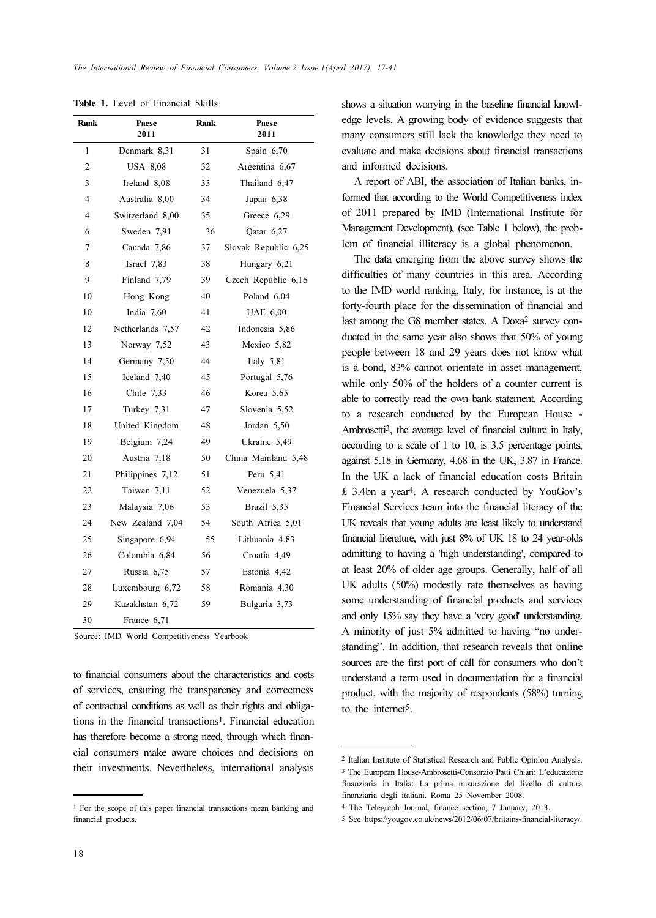| Rank           | Paese<br>2011    | Rank | Paese<br>2011        |
|----------------|------------------|------|----------------------|
| 1              | Denmark 8,31     | 31   | Spain 6,70           |
| $\overline{c}$ | <b>USA 8.08</b>  | 32   | Argentina 6,67       |
| 3              | Ireland 8,08     | 33   | Thailand 6,47        |
| 4              | Australia 8,00   | 34   | Japan 6,38           |
| 4              | Switzerland 8,00 | 35   | Greece 6,29          |
| 6              | Sweden 7,91      | 36   | Qatar 6,27           |
| 7              | Canada 7,86      | 37   | Slovak Republic 6,25 |
| 8              | Israel 7,83      | 38   | Hungary 6,21         |
| 9              | Finland 7,79     | 39   | Czech Republic 6,16  |
| 10             | Hong Kong        | 40   | Poland 6,04          |
| 10             | India 7,60       | 41   | <b>UAE 6,00</b>      |
| 12             | Netherlands 7,57 | 42   | Indonesia 5,86       |
| 13             | Norway 7,52      | 43   | Mexico 5,82          |
| 14             | Germany 7,50     | 44   | Italy 5,81           |
| 15             | Iceland 7,40     | 45   | Portugal 5,76        |
| 16             | Chile 7,33       | 46   | Korea 5,65           |
| 17             | Turkey 7,31      | 47   | Slovenia 5,52        |
| 18             | United Kingdom   | 48   | Jordan 5,50          |
| 19             | Belgium 7,24     | 49   | Ukraine 5,49         |
| 20             | Austria 7,18     | 50   | China Mainland 5,48  |
| 21             | Philippines 7,12 | 51   | Peru 5,41            |
| 22             | Taiwan 7,11      | 52   | Venezuela 5,37       |
| 23             | Malaysia 7,06    | 53   | Brazil 5,35          |
| 24             | New Zealand 7,04 | 54   | South Africa 5,01    |
| 25             | Singapore 6,94   | 55   | Lithuania 4,83       |
| 26             | Colombia 6,84    | 56   | Croatia 4,49         |
| 27             | Russia 6,75      | 57   | Estonia 4,42         |
| 28             | Luxembourg 6,72  | 58   | Romania 4,30         |
| 29             | Kazakhstan 6,72  | 59   | Bulgaria 3,73        |
| 30             | France 6,71      |      |                      |

Table 1. Level of Financial Skills

Source: IMD World Competitiveness Yearbook

to financial consumers about the characteristics and costs of services, ensuring the transparency and correctness of contractual conditions as well as their rights and obligations in the financial transactions<sup>1</sup>. Financial education has therefore become a strong need, through which financial consumers make aware choices and decisions on their investments. Nevertheless, international analysis shows a situation worrying in the baseline financial knowledge levels. A growing body of evidence suggests that many consumers still lack the knowledge they need to evaluate and make decisions about financial transactions and informed decisions.

A report of ABI, the association of Italian banks, informed that according to the World Competitiveness index of 2011 prepared by IMD (International Institute for Management Development), (see Table 1 below), the problem of financial illiteracy is a global phenomenon.

The data emerging from the above survey shows the difficulties of many countries in this area. According to the IMD world ranking, Italy, for instance, is at the forty-fourth place for the dissemination of financial and last among the G8 member states. A Doxa2 survey conducted in the same year also shows that 50% of young people between 18 and 29 years does not know what is a bond, 83% cannot orientate in asset management, while only 50% of the holders of a counter current is able to correctly read the own bank statement. According to a research conducted by the European House - Ambrosetti3, the average level of financial culture in Italy, according to a scale of 1 to 10, is 3.5 percentage points, against 5.18 in Germany, 4.68 in the UK, 3.87 in France. In the UK a lack of financial education costs Britain £ 3.4bn a year4. A research conducted by YouGov's Financial Services team into the financial literacy of the UK reveals that young adults are least likely to understand financial literature, with just 8% of UK 18 to 24 year-olds admitting to having a 'high understanding', compared to at least 20% of older age groups. Generally, half of all UK adults (50%) modestly rate themselves as having some understanding of financial products and services and only 15% say they have a 'very good' understanding. A minority of just 5% admitted to having "no understanding". In addition, that research reveals that online sources are the first port of call for consumers who don't understand a term used in documentation for a financial product, with the majority of respondents (58%) turning to the internet<sup>5</sup>.

<sup>1</sup> For the scope of this paper financial transactions mean banking and financial products.

<sup>2</sup> Italian Institute of Statistical Research and Public Opinion Analysis. <sup>3</sup> The European House-Ambrosetti-Consorzio Patti Chiari: L'educazione finanziaria in Italia: La prima misurazione del livello di cultura finanziaria degli italiani. Roma 25 November 2008.

<sup>4</sup> The Telegraph Journal, finance section, 7 January, 2013.

<sup>5</sup> See https://yougov.co.uk/news/2012/06/07/britains-financial-literacy/.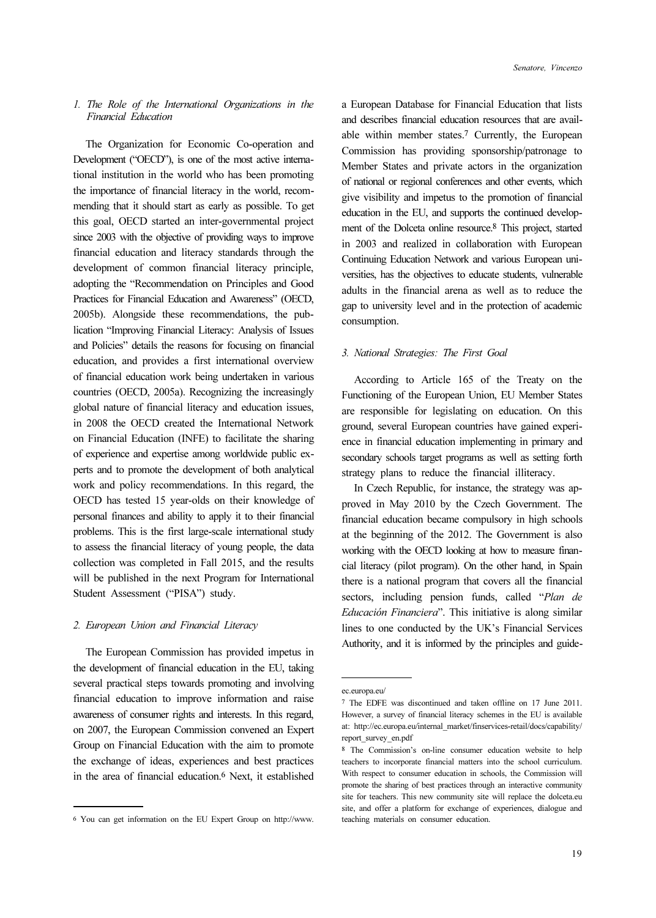## 1. The Role of the International Organizations in the Financial Education

The Organization for Economic Co-operation and Development ("OECD"), is one of the most active international institution in the world who has been promoting the importance of financial literacy in the world, recommending that it should start as early as possible. To get this goal, OECD started an inter-governmental project since 2003 with the objective of providing ways to improve financial education and literacy standards through the development of common financial literacy principle, adopting the "Recommendation on Principles and Good Practices for Financial Education and Awareness" (OECD, 2005b). Alongside these recommendations, the publication "Improving Financial Literacy: Analysis of Issues and Policies" details the reasons for focusing on financial education, and provides a first international overview of financial education work being undertaken in various countries (OECD, 2005a). Recognizing the increasingly global nature of financial literacy and education issues, in 2008 the OECD created the International Network on Financial Education (INFE) to facilitate the sharing of experience and expertise among worldwide public experts and to promote the development of both analytical work and policy recommendations. In this regard, the OECD has tested 15 year-olds on their knowledge of personal finances and ability to apply it to their financial problems. This is the first large-scale international study to assess the financial literacy of young people, the data collection was completed in Fall 2015, and the results will be published in the next Program for International Student Assessment ("PISA") study.

#### 2. European Union and Financial Literacy

The European Commission has provided impetus in the development of financial education in the EU, taking several practical steps towards promoting and involving financial education to improve information and raise awareness of consumer rights and interests. In this regard, on 2007, the European Commission convened an Expert Group on Financial Education with the aim to promote the exchange of ideas, experiences and best practices in the area of financial education.6 Next, it established

a European Database for Financial Education that lists and describes financial education resources that are available within member states.7 Currently, the European Commission has providing sponsorship/patronage to Member States and private actors in the organization of national or regional conferences and other events, which give visibility and impetus to the promotion of financial education in the EU, and supports the continued development of the Dolceta online resource.8 This project, started in 2003 and realized in collaboration with European Continuing Education Network and various European universities, has the objectives to educate students, vulnerable adults in the financial arena as well as to reduce the gap to university level and in the protection of academic consumption.

#### 3. National Strategies: The First Goal

According to Article 165 of the Treaty on the Functioning of the European Union, EU Member States are responsible for legislating on education. On this ground, several European countries have gained experience in financial education implementing in primary and secondary schools target programs as well as setting forth strategy plans to reduce the financial illiteracy.

In Czech Republic, for instance, the strategy was approved in May 2010 by the Czech Government. The financial education became compulsory in high schools at the beginning of the 2012. The Government is also working with the OECD looking at how to measure financial literacy (pilot program). On the other hand, in Spain there is a national program that covers all the financial sectors, including pension funds, called "Plan de Educación Financiera". This initiative is along similar lines to one conducted by the UK's Financial Services Authority, and it is informed by the principles and guide-

<sup>6</sup> You can get information on the EU Expert Group on http://www.

ec.europa.eu/

<sup>7</sup> The EDFE was discontinued and taken offline on 17 June 2011. However, a survey of financial literacy schemes in the EU is available at: http://ec.europa.eu/internal\_market/finservices-retail/docs/capability/ report\_survey\_en.pdf

<sup>8</sup> The Commission's on-line consumer education website to help teachers to incorporate financial matters into the school curriculum. With respect to consumer education in schools, the Commission will promote the sharing of best practices through an interactive community site for teachers. This new community site will replace the dolceta.eu site, and offer a platform for exchange of experiences, dialogue and teaching materials on consumer education.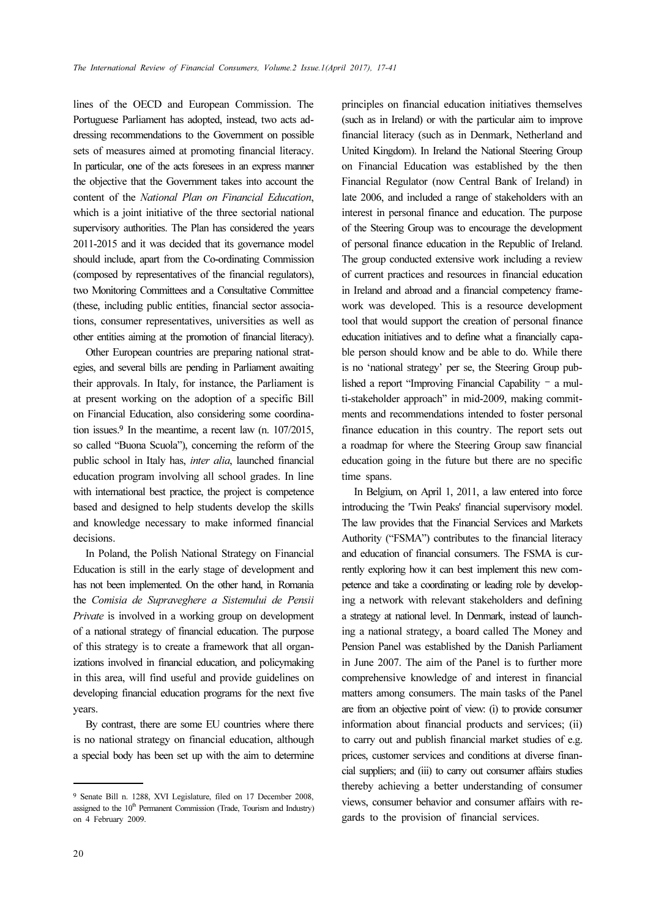lines of the OECD and European Commission. The Portuguese Parliament has adopted, instead, two acts addressing recommendations to the Government on possible sets of measures aimed at promoting financial literacy. In particular, one of the acts foresees in an express manner the objective that the Government takes into account the content of the National Plan on Financial Education, which is a joint initiative of the three sectorial national supervisory authorities. The Plan has considered the years 2011-2015 and it was decided that its governance model should include, apart from the Co-ordinating Commission (composed by representatives of the financial regulators), two Monitoring Committees and a Consultative Committee (these, including public entities, financial sector associations, consumer representatives, universities as well as other entities aiming at the promotion of financial literacy).

Other European countries are preparing national strategies, and several bills are pending in Parliament awaiting their approvals. In Italy, for instance, the Parliament is at present working on the adoption of a specific Bill on Financial Education, also considering some coordination issues.9 In the meantime, a recent law (n. 107/2015, so called "Buona Scuola"), concerning the reform of the public school in Italy has, inter alia, launched financial education program involving all school grades. In line with international best practice, the project is competence based and designed to help students develop the skills and knowledge necessary to make informed financial decisions.

In Poland, the Polish National Strategy on Financial Education is still in the early stage of development and has not been implemented. On the other hand, in Romania the Comisia de Supraveghere a Sistemului de Pensii Private is involved in a working group on development of a national strategy of financial education. The purpose of this strategy is to create a framework that all organizations involved in financial education, and policymaking in this area, will find useful and provide guidelines on developing financial education programs for the next five years.

By contrast, there are some EU countries where there is no national strategy on financial education, although a special body has been set up with the aim to determine principles on financial education initiatives themselves (such as in Ireland) or with the particular aim to improve financial literacy (such as in Denmark, Netherland and United Kingdom). In Ireland the National Steering Group on Financial Education was established by the then Financial Regulator (now Central Bank of Ireland) in late 2006, and included a range of stakeholders with an interest in personal finance and education. The purpose of the Steering Group was to encourage the development of personal finance education in the Republic of Ireland. The group conducted extensive work including a review of current practices and resources in financial education in Ireland and abroad and a financial competency framework was developed. This is a resource development tool that would support the creation of personal finance education initiatives and to define what a financially capable person should know and be able to do. While there is no 'national strategy' per se, the Steering Group published a report "Improving Financial Capability – a multi-stakeholder approach" in mid-2009, making commitments and recommendations intended to foster personal finance education in this country. The report sets out a roadmap for where the Steering Group saw financial education going in the future but there are no specific time spans.

In Belgium, on April 1, 2011, a law entered into force introducing the 'Twin Peaks' financial supervisory model. The law provides that the Financial Services and Markets Authority ("FSMA") contributes to the financial literacy and education of financial consumers. The FSMA is currently exploring how it can best implement this new competence and take a coordinating or leading role by developing a network with relevant stakeholders and defining a strategy at national level. In Denmark, instead of launching a national strategy, a board called The Money and Pension Panel was established by the Danish Parliament in June 2007. The aim of the Panel is to further more comprehensive knowledge of and interest in financial matters among consumers. The main tasks of the Panel are from an objective point of view: (i) to provide consumer information about financial products and services; (ii) to carry out and publish financial market studies of e.g. prices, customer services and conditions at diverse financial suppliers; and (iii) to carry out consumer affairs studies thereby achieving a better understanding of consumer views, consumer behavior and consumer affairs with regards to the provision of financial services.

<sup>9</sup> Senate Bill n. 1288, XVI Legislature, filed on 17 December 2008, assigned to the  $10<sup>th</sup>$  Permanent Commission (Trade, Tourism and Industry) on 4 February 2009.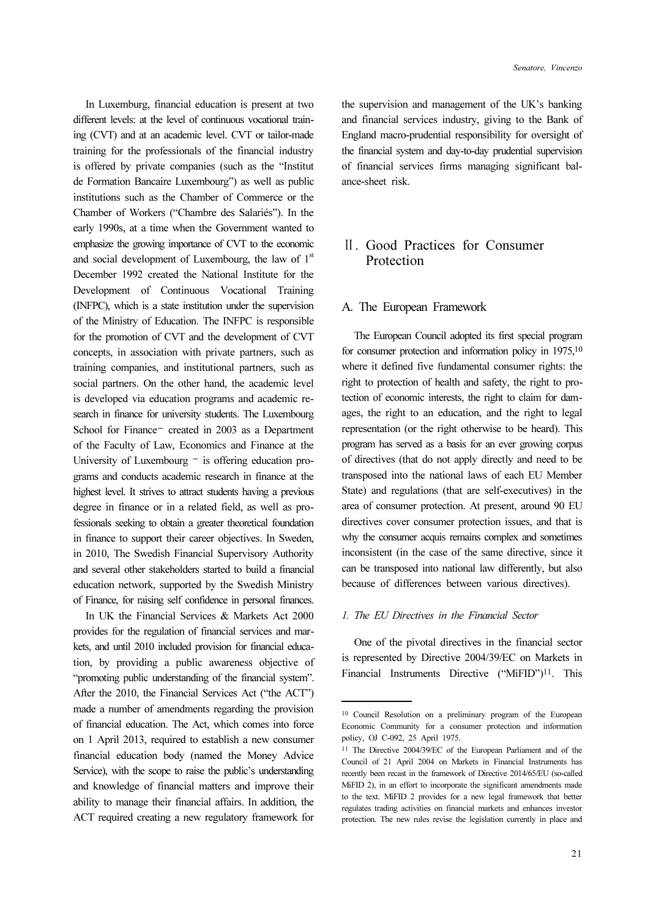In Luxemburg, financial education is present at two different levels: at the level of continuous vocational training (CVT) and at an academic level. CVT or tailor-made training for the professionals of the financial industry is offered by private companies (such as the "Institut de Formation Bancaire Luxembourg") as well as public institutions such as the Chamber of Commerce or the Chamber of Workers ("Chambre des Salariés"). In the early 1990s, at a time when the Government wanted to emphasize the growing importance of CVT to the economic and social development of Luxembourg, the law of  $1<sup>st</sup>$ December 1992 created the National Institute for the Development of Continuous Vocational Training (INFPC), which is a state institution under the supervision of the Ministry of Education. The INFPC is responsible for the promotion of CVT and the development of CVT concepts, in association with private partners, such as training companies, and institutional partners, such as social partners. On the other hand, the academic level is developed via education programs and academic research in finance for university students. The Luxembourg School for Finance– created in 2003 as a Department of the Faculty of Law, Economics and Finance at the University of Luxembourg – is offering education programs and conducts academic research in finance at the highest level. It strives to attract students having a previous degree in finance or in a related field, as well as professionals seeking to obtain a greater theoretical foundation in finance to support their career objectives. In Sweden, in 2010, The Swedish Financial Supervisory Authority and several other stakeholders started to build a financial education network, supported by the Swedish Ministry of Finance, for raising self confidence in personal finances.

In UK the Financial Services & Markets Act 2000 provides for the regulation of financial services and markets, and until 2010 included provision for financial education, by providing a public awareness objective of "promoting public understanding of the financial system". After the 2010, the Financial Services Act ("the ACT") made a number of amendments regarding the provision of financial education. The Act, which comes into force on 1 April 2013, required to establish a new consumer financial education body (named the Money Advice Service), with the scope to raise the public's understanding and knowledge of financial matters and improve their ability to manage their financial affairs. In addition, the ACT required creating a new regulatory framework for

the supervision and management of the UK's banking and financial services industry, giving to the Bank of England macro-prudential responsibility for oversight of the financial system and day-to-day prudential supervision of financial services firms managing significant balance-sheet risk.

# Ⅱ. Good Practices for Consumer Protection

### A. The European Framework

The European Council adopted its first special program for consumer protection and information policy in 1975,<sup>10</sup> where it defined five fundamental consumer rights: the right to protection of health and safety, the right to protection of economic interests, the right to claim for damages, the right to an education, and the right to legal representation (or the right otherwise to be heard). This program has served as a basis for an ever growing corpus of directives (that do not apply directly and need to be transposed into the national laws of each EU Member State) and regulations (that are self-executives) in the area of consumer protection. At present, around 90 EU directives cover consumer protection issues, and that is why the consumer acquis remains complex and sometimes inconsistent (in the case of the same directive, since it can be transposed into national law differently, but also because of differences between various directives).

### 1. The EU Directives in the Financial Sector

One of the pivotal directives in the financial sector is represented by Directive 2004/39/EC on Markets in Financial Instruments Directive ("MiFID")11. This

<sup>10</sup> Council Resolution on a preliminary program of the European Economic Community for a consumer protection and information policy, OJ C-092, 25 April 1975.

<sup>11</sup> The Directive 2004/39/EC of the European Parliament and of the Council of 21 April 2004 on Markets in Financial Instruments has recently been recast in the framework of Directive 2014/65/EU (so-called MiFID 2), in an effort to incorporate the significant amendments made to the text. MiFID 2 provides for a new legal framework that better regulates trading activities on financial markets and enhances investor protection. The new rules revise the legislation currently in place and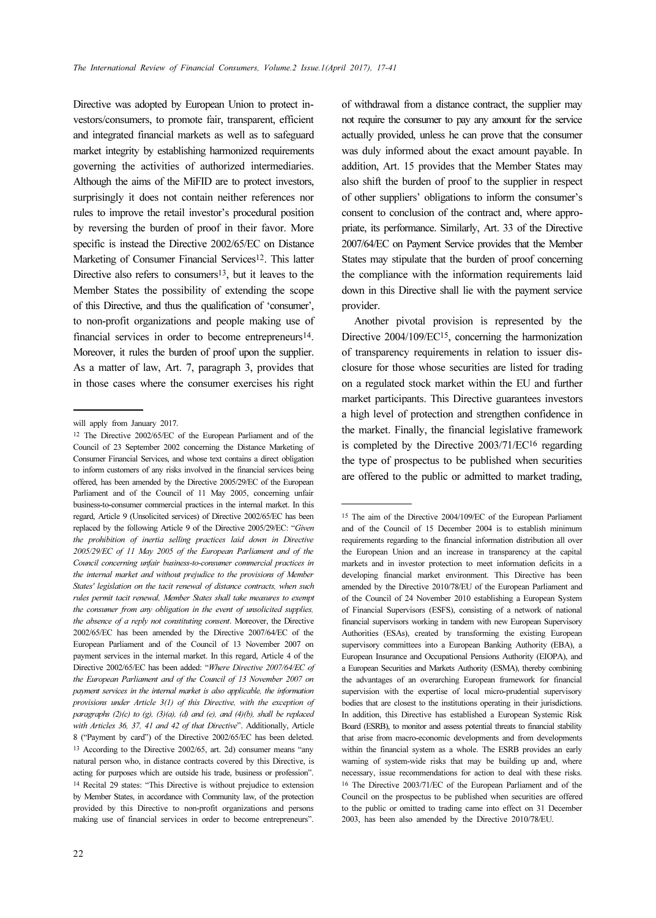Directive was adopted by European Union to protect investors/consumers, to promote fair, transparent, efficient and integrated financial markets as well as to safeguard market integrity by establishing harmonized requirements governing the activities of authorized intermediaries. Although the aims of the MiFID are to protect investors, surprisingly it does not contain neither references nor rules to improve the retail investor's procedural position by reversing the burden of proof in their favor. More specific is instead the Directive 2002/65/EC on Distance Marketing of Consumer Financial Services<sup>12</sup>. This latter Directive also refers to consumers13, but it leaves to the Member States the possibility of extending the scope of this Directive, and thus the qualification of 'consumer', to non-profit organizations and people making use of financial services in order to become entrepreneurs<sup>14</sup>. Moreover, it rules the burden of proof upon the supplier. As a matter of law, Art. 7, paragraph 3, provides that in those cases where the consumer exercises his right

of withdrawal from a distance contract, the supplier may not require the consumer to pay any amount for the service actually provided, unless he can prove that the consumer was duly informed about the exact amount payable. In addition, Art. 15 provides that the Member States may also shift the burden of proof to the supplier in respect of other suppliers' obligations to inform the consumer's consent to conclusion of the contract and, where appropriate, its performance. Similarly, Art. 33 of the Directive 2007/64/EC on Payment Service provides that the Member States may stipulate that the burden of proof concerning the compliance with the information requirements laid down in this Directive shall lie with the payment service provider.

Another pivotal provision is represented by the Directive 2004/109/EC15, concerning the harmonization of transparency requirements in relation to issuer disclosure for those whose securities are listed for trading on a regulated stock market within the EU and further market participants. This Directive guarantees investors a high level of protection and strengthen confidence in the market. Finally, the financial legislative framework is completed by the Directive 2003/71/EC16 regarding the type of prospectus to be published when securities are offered to the public or admitted to market trading,

will apply from January 2017.

<sup>12</sup> The Directive 2002/65/EC of the European Parliament and of the Council of 23 September 2002 concerning the Distance Marketing of Consumer Financial Services, and whose text contains a direct obligation to inform customers of any risks involved in the financial services being offered, has been amended by the Directive 2005/29/EC of the European Parliament and of the Council of 11 May 2005, concerning unfair business-to-consumer commercial practices in the internal market. In this regard, Article 9 (Unsolicited services) of Directive 2002/65/EC has been replaced by the following Article 9 of the Directive 2005/29/EC: "Given the prohibition of inertia selling practices laid down in Directive 2005/29/EC of 11 May 2005 of the European Parliament and of the Council concerning unfair business-to-consumer commercial practices in the internal market and without prejudice to the provisions of Member States' legislation on the tacit renewal of distance contracts, when such rules permit tacit renewal, Member States shall take measures to exempt the consumer from any obligation in the event of unsolicited supplies, the absence of a reply not constituting consent. Moreover, the Directive 2002/65/EC has been amended by the Directive 2007/64/EC of the European Parliament and of the Council of 13 November 2007 on payment services in the internal market. In this regard, Article 4 of the Directive 2002/65/EC has been added: "Where Directive 2007/64/EC of the European Parliament and of the Council of 13 November 2007 on payment services in the internal market is also applicable, the information provisions under Article 3(1) of this Directive, with the exception of paragraphs  $(2)(c)$  to  $(g)$ ,  $(3)(a)$ ,  $(d)$  and  $(e)$ , and  $(4)(b)$ , shall be replaced with Articles 36, 37, 41 and 42 of that Directive". Additionally, Article 8 ("Payment by card") of the Directive 2002/65/EC has been deleted. <sup>13</sup> According to the Directive 2002/65, art. 2d) consumer means "any natural person who, in distance contracts covered by this Directive, is acting for purposes which are outside his trade, business or profession". <sup>14</sup> Recital 29 states: "This Directive is without prejudice to extension by Member States, in accordance with Community law, of the protection provided by this Directive to non-profit organizations and persons making use of financial services in order to become entrepreneurs".

<sup>15</sup> The aim of the Directive 2004/109/EC of the European Parliament and of the Council of 15 December 2004 is to establish minimum requirements regarding to the financial information distribution all over the European Union and an increase in transparency at the capital markets and in investor protection to meet information deficits in a developing financial market environment. This Directive has been amended by the Directive 2010/78/EU of the European Parliament and of the Council of 24 November 2010 establishing a European System of Financial Supervisors (ESFS), consisting of a network of national financial supervisors working in tandem with new European Supervisory Authorities (ESAs), created by transforming the existing European supervisory committees into a European Banking Authority (EBA), a European Insurance and Occupational Pensions Authority (EIOPA), and a European Securities and Markets Authority (ESMA), thereby combining the advantages of an overarching European framework for financial supervision with the expertise of local micro-prudential supervisory bodies that are closest to the institutions operating in their jurisdictions. In addition, this Directive has established a European Systemic Risk Board (ESRB), to monitor and assess potential threats to financial stability that arise from macro-economic developments and from developments within the financial system as a whole. The ESRB provides an early warning of system-wide risks that may be building up and, where necessary, issue recommendations for action to deal with these risks. <sup>16</sup> The Directive 2003/71/EC of the European Parliament and of the Council on the prospectus to be published when securities are offered to the public or omitted to trading came into effect on 31 December 2003, has been also amended by the Directive 2010/78/EU.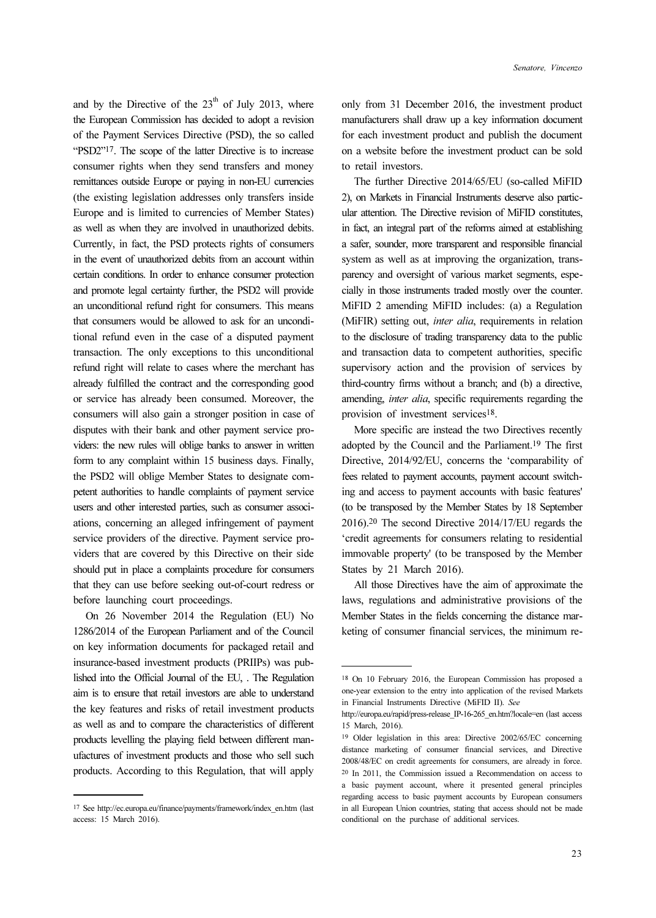and by the Directive of the  $23<sup>th</sup>$  of July 2013, where the European Commission has decided to adopt a revision of the Payment Services Directive (PSD), the so called "PSD2"17. The scope of the latter Directive is to increase consumer rights when they send transfers and money remittances outside Europe or paying in non-EU currencies (the existing legislation addresses only transfers inside Europe and is limited to currencies of Member States) as well as when they are involved in unauthorized debits. Currently, in fact, the PSD protects rights of consumers in the event of unauthorized debits from an account within certain conditions. In order to enhance consumer protection and promote legal certainty further, the PSD2 will provide an unconditional refund right for consumers. This means that consumers would be allowed to ask for an unconditional refund even in the case of a disputed payment transaction. The only exceptions to this unconditional refund right will relate to cases where the merchant has already fulfilled the contract and the corresponding good or service has already been consumed. Moreover, the consumers will also gain a stronger position in case of disputes with their bank and other payment service providers: the new rules will oblige banks to answer in written form to any complaint within 15 business days. Finally, the PSD2 will oblige Member States to designate competent authorities to handle complaints of payment service users and other interested parties, such as consumer associations, concerning an alleged infringement of payment service providers of the directive. Payment service providers that are covered by this Directive on their side should put in place a complaints procedure for consumers that they can use before seeking out-of-court redress or before launching court proceedings.

On 26 November 2014 the Regulation (EU) No 1286/2014 of the European Parliament and of the Council on key information documents for packaged retail and insurance-based investment products (PRIIPs) was published into the Official Journal of the EU, . The Regulation aim is to ensure that retail investors are able to understand the key features and risks of retail investment products as well as and to compare the characteristics of different products levelling the playing field between different manufactures of investment products and those who sell such products. According to this Regulation, that will apply

only from 31 December 2016, the investment product manufacturers shall draw up a key information document for each investment product and publish the document on a website before the investment product can be sold to retail investors.

The further Directive 2014/65/EU (so-called MiFID 2), on Markets in Financial Instruments deserve also particular attention. The Directive revision of MiFID constitutes, in fact, an integral part of the reforms aimed at establishing a safer, sounder, more transparent and responsible financial system as well as at improving the organization, transparency and oversight of various market segments, especially in those instruments traded mostly over the counter. MiFID 2 amending MiFID includes: (a) a Regulation (MiFIR) setting out, inter alia, requirements in relation to the disclosure of trading transparency data to the public and transaction data to competent authorities, specific supervisory action and the provision of services by third-country firms without a branch; and (b) a directive, amending, inter alia, specific requirements regarding the provision of investment services<sup>18</sup>.

More specific are instead the two Directives recently adopted by the Council and the Parliament.19 The first Directive, 2014/92/EU, concerns the 'comparability of fees related to payment accounts, payment account switching and access to payment accounts with basic features' (to be transposed by the Member States by 18 September 2016).20 The second Directive 2014/17/EU regards the 'credit agreements for consumers relating to residential immovable property' (to be transposed by the Member States by 21 March 2016).

All those Directives have the aim of approximate the laws, regulations and administrative provisions of the Member States in the fields concerning the distance marketing of consumer financial services, the minimum re-

<sup>17</sup> See http://ec.europa.eu/finance/payments/framework/index\_en.htm (last access: 15 March 2016).

<sup>18</sup> On 10 February 2016, the European Commission has proposed a one-year extension to the entry into application of the revised Markets in Financial Instruments Directive (MiFID II). See

http://europa.eu/rapid/press-release\_IP-16-265\_en.htm?locale=en (last access 15 March, 2016).

<sup>19</sup> Older legislation in this area: Directive 2002/65/EC concerning distance marketing of consumer financial services, and Directive 2008/48/EC on credit agreements for consumers, are already in force. <sup>20</sup> In 2011, the Commission issued a Recommendation on access to a basic payment account, where it presented general principles regarding access to basic payment accounts by European consumers in all European Union countries, stating that access should not be made conditional on the purchase of additional services.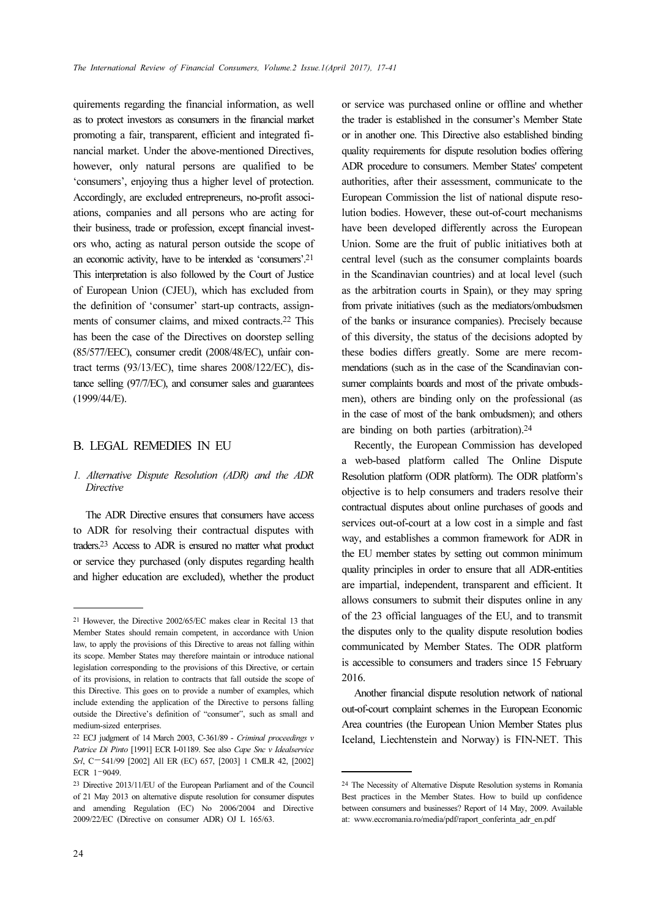quirements regarding the financial information, as well as to protect investors as consumers in the financial market promoting a fair, transparent, efficient and integrated financial market. Under the above-mentioned Directives, however, only natural persons are qualified to be 'consumers', enjoying thus a higher level of protection. Accordingly, are excluded entrepreneurs, no-profit associations, companies and all persons who are acting for their business, trade or profession, except financial investors who, acting as natural person outside the scope of an economic activity, have to be intended as 'consumers'.<sup>21</sup> This interpretation is also followed by the Court of Justice of European Union (CJEU), which has excluded from the definition of 'consumer' start-up contracts, assignments of consumer claims, and mixed contracts.22 This has been the case of the Directives on doorstep selling (85/577/EEC), consumer credit (2008/48/EC), unfair contract terms (93/13/EC), time shares 2008/122/EC), distance selling (97/7/EC), and consumer sales and guarantees (1999/44/E).

## B. LEGAL REMEDIES IN EU

## 1. Alternative Dispute Resolution (ADR) and the ADR **Directive**

The ADR Directive ensures that consumers have access to ADR for resolving their contractual disputes with traders.23 Access to ADR is ensured no matter what product or service they purchased (only disputes regarding health and higher education are excluded), whether the product or service was purchased online or offline and whether the trader is established in the consumer's Member State or in another one. This Directive also established binding quality requirements for dispute resolution bodies offering ADR procedure to consumers. Member States' competent authorities, after their assessment, communicate to the European Commission the list of national dispute resolution bodies. However, these out-of-court mechanisms have been developed differently across the European Union. Some are the fruit of public initiatives both at central level (such as the consumer complaints boards in the Scandinavian countries) and at local level (such as the arbitration courts in Spain), or they may spring from private initiatives (such as the mediators/ombudsmen of the banks or insurance companies). Precisely because of this diversity, the status of the decisions adopted by these bodies differs greatly. Some are mere recommendations (such as in the case of the Scandinavian consumer complaints boards and most of the private ombudsmen), others are binding only on the professional (as in the case of most of the bank ombudsmen); and others are binding on both parties (arbitration).<sup>24</sup>

Recently, the European Commission has developed a web-based platform called The Online Dispute Resolution platform (ODR platform). The ODR platform's objective is to help consumers and traders resolve their contractual disputes about online purchases of goods and services out-of-court at a low cost in a simple and fast way, and establishes a common framework for ADR in the EU member states by setting out common minimum quality principles in order to ensure that all ADR-entities are impartial, independent, transparent and efficient. It allows consumers to submit their disputes online in any of the 23 official languages of the EU, and to transmit the disputes only to the quality dispute resolution bodies communicated by Member States. The ODR platform is accessible to consumers and traders since 15 February 2016.

Another financial dispute resolution network of national out-of-court complaint schemes in the European Economic Area countries (the European Union Member States plus Iceland, Liechtenstein and Norway) is FIN-NET. This

<sup>21</sup> However, the Directive 2002/65/EC makes clear in Recital 13 that Member States should remain competent, in accordance with Union law, to apply the provisions of this Directive to areas not falling within its scope. Member States may therefore maintain or introduce national legislation corresponding to the provisions of this Directive, or certain of its provisions, in relation to contracts that fall outside the scope of this Directive. This goes on to provide a number of examples, which include extending the application of the Directive to persons falling outside the Directive's definition of "consumer", such as small and medium-sized enterprises.

<sup>22</sup> ECJ judgment of 14 March 2003, C-361/89 - Criminal proceedings v Patrice Di Pinto [1991] ECR I-01189. See also Cape Snc v Idealservice Srl, C—541/99 [2002] All ER (EC) 657, [2003] 1 CMLR 42, [2002] ECR 1–9049.

<sup>23</sup> Directive 2013/11/EU of the European Parliament and of the Council of 21 May 2013 on alternative dispute resolution for consumer disputes and amending Regulation (EC) No 2006/2004 and Directive 2009/22/EC (Directive on consumer ADR) OJ L 165/63.

<sup>24</sup> The Necessity of Alternative Dispute Resolution systems in Romania Best practices in the Member States. How to build up confidence between consumers and businesses? Report of 14 May, 2009. Available at: www.eccromania.ro/media/pdf/raport\_conferinta\_adr\_en.pdf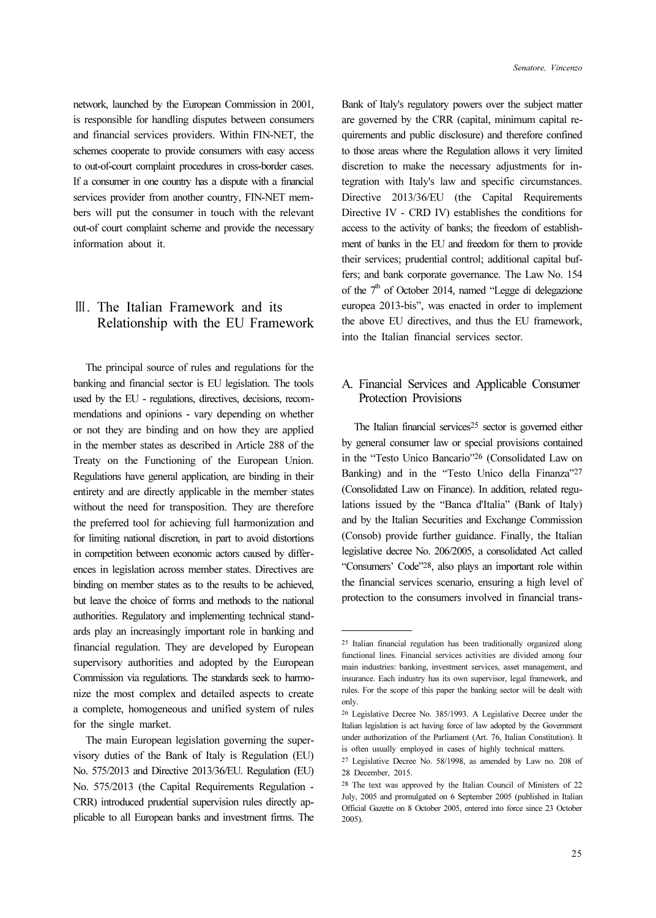network, launched by the European Commission in 2001, is responsible for handling disputes between consumers and financial services providers. Within FIN-NET, the schemes cooperate to provide consumers with easy access to out-of-court complaint procedures in cross-border cases. If a consumer in one country has a dispute with a financial services provider from another country, FIN-NET members will put the consumer in touch with the relevant out-of court complaint scheme and provide the necessary information about it.

# Ⅲ. The Italian Framework and its Relationship with the EU Framework

The principal source of rules and regulations for the banking and financial sector is EU legislation. The tools used by the EU - regulations, directives, decisions, recommendations and opinions - vary depending on whether or not they are binding and on how they are applied in the member states as described in Article 288 of the Treaty on the Functioning of the European Union. Regulations have general application, are binding in their entirety and are directly applicable in the member states without the need for transposition. They are therefore the preferred tool for achieving full harmonization and for limiting national discretion, in part to avoid distortions in competition between economic actors caused by differences in legislation across member states. Directives are binding on member states as to the results to be achieved, but leave the choice of forms and methods to the national authorities. Regulatory and implementing technical standards play an increasingly important role in banking and financial regulation. They are developed by European supervisory authorities and adopted by the European Commission via regulations. The standards seek to harmonize the most complex and detailed aspects to create a complete, homogeneous and unified system of rules for the single market.

The main European legislation governing the supervisory duties of the Bank of Italy is Regulation (EU) No. 575/2013 and Directive 2013/36/EU. Regulation (EU) No. 575/2013 (the Capital Requirements Regulation - CRR) introduced prudential supervision rules directly applicable to all European banks and investment firms. The

Bank of Italy's regulatory powers over the subject matter are governed by the CRR (capital, minimum capital requirements and public disclosure) and therefore confined to those areas where the Regulation allows it very limited discretion to make the necessary adjustments for integration with Italy's law and specific circumstances. Directive 2013/36/EU (the Capital Requirements Directive IV - CRD IV) establishes the conditions for access to the activity of banks; the freedom of establishment of banks in the EU and freedom for them to provide their services; prudential control; additional capital buffers; and bank corporate governance. The Law No. 154 of the  $7<sup>th</sup>$  of October 2014, named "Legge di delegazione" europea 2013-bis", was enacted in order to implement the above EU directives, and thus the EU framework, into the Italian financial services sector.

# A. Financial Services and Applicable Consumer Protection Provisions

The Italian financial services<sup>25</sup> sector is governed either by general consumer law or special provisions contained in the "Testo Unico Bancario"26 (Consolidated Law on Banking) and in the "Testo Unico della Finanza"<sup>27</sup> (Consolidated Law on Finance). In addition, related regulations issued by the "Banca d'Italia" (Bank of Italy) and by the Italian Securities and Exchange Commission (Consob) provide further guidance. Finally, the Italian legislative decree No. 206/2005, a consolidated Act called "Consumers' Code"28, also plays an important role within the financial services scenario, ensuring a high level of protection to the consumers involved in financial trans-

<sup>25</sup> Italian financial regulation has been traditionally organized along functional lines. Financial services activities are divided among four main industries: banking, investment services, asset management, and insurance. Each industry has its own supervisor, legal framework, and rules. For the scope of this paper the banking sector will be dealt with only.

<sup>26</sup> Legislative Decree No. 385/1993. A Legislative Decree under the Italian legislation is act having force of law adopted by the Government under authorization of the Parliament (Art. 76, Italian Constitution). It is often usually employed in cases of highly technical matters.

<sup>27</sup> Legislative Decree No. 58/1998, as amended by Law no. 208 of 28 December, 2015.

<sup>28</sup> The text was approved by the Italian Council of Ministers of 22 July, 2005 and promulgated on 6 September 2005 (published in Italian Official Gazette on 8 October 2005, entered into force since 23 October 2005).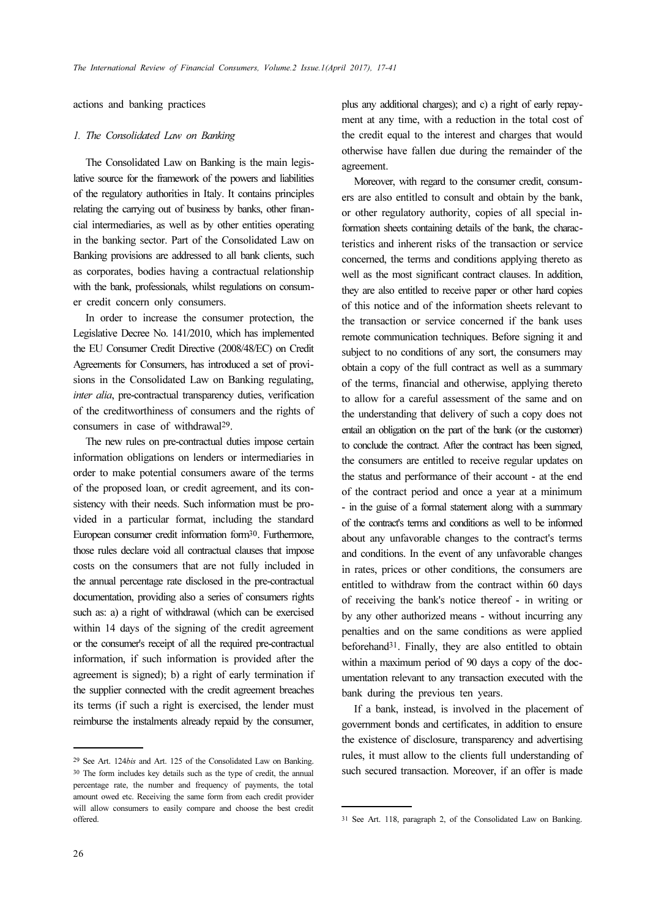actions and banking practices

## 1. The Consolidated Law on Banking

The Consolidated Law on Banking is the main legislative source for the framework of the powers and liabilities of the regulatory authorities in Italy. It contains principles relating the carrying out of business by banks, other financial intermediaries, as well as by other entities operating in the banking sector. Part of the Consolidated Law on Banking provisions are addressed to all bank clients, such as corporates, bodies having a contractual relationship with the bank, professionals, whilst regulations on consumer credit concern only consumers.

In order to increase the consumer protection, the Legislative Decree No. 141/2010, which has implemented the EU Consumer Credit Directive (2008/48/EC) on Credit Agreements for Consumers, has introduced a set of provisions in the Consolidated Law on Banking regulating, inter alia, pre-contractual transparency duties, verification of the creditworthiness of consumers and the rights of consumers in case of withdrawal29.

The new rules on pre-contractual duties impose certain information obligations on lenders or intermediaries in order to make potential consumers aware of the terms of the proposed loan, or credit agreement, and its consistency with their needs. Such information must be provided in a particular format, including the standard European consumer credit information form30. Furthermore, those rules declare void all contractual clauses that impose costs on the consumers that are not fully included in the annual percentage rate disclosed in the pre-contractual documentation, providing also a series of consumers rights such as: a) a right of withdrawal (which can be exercised within 14 days of the signing of the credit agreement or the consumer's receipt of all the required pre-contractual information, if such information is provided after the agreement is signed); b) a right of early termination if the supplier connected with the credit agreement breaches its terms (if such a right is exercised, the lender must reimburse the instalments already repaid by the consumer,

<sup>29</sup> See Art. 124bis and Art. 125 of the Consolidated Law on Banking. <sup>30</sup> The form includes key details such as the type of credit, the annual percentage rate, the number and frequency of payments, the total amount owed etc. Receiving the same form from each credit provider will allow consumers to easily compare and choose the best credit offered.

plus any additional charges); and c) a right of early repayment at any time, with a reduction in the total cost of the credit equal to the interest and charges that would otherwise have fallen due during the remainder of the agreement.

Moreover, with regard to the consumer credit, consumers are also entitled to consult and obtain by the bank, or other regulatory authority, copies of all special information sheets containing details of the bank, the characteristics and inherent risks of the transaction or service concerned, the terms and conditions applying thereto as well as the most significant contract clauses. In addition, they are also entitled to receive paper or other hard copies of this notice and of the information sheets relevant to the transaction or service concerned if the bank uses remote communication techniques. Before signing it and subject to no conditions of any sort, the consumers may obtain a copy of the full contract as well as a summary of the terms, financial and otherwise, applying thereto to allow for a careful assessment of the same and on the understanding that delivery of such a copy does not entail an obligation on the part of the bank (or the customer) to conclude the contract. After the contract has been signed, the consumers are entitled to receive regular updates on the status and performance of their account - at the end of the contract period and once a year at a minimum - in the guise of a formal statement along with a summary of the contract's terms and conditions as well to be informed about any unfavorable changes to the contract's terms and conditions. In the event of any unfavorable changes in rates, prices or other conditions, the consumers are entitled to withdraw from the contract within 60 days of receiving the bank's notice thereof - in writing or by any other authorized means - without incurring any penalties and on the same conditions as were applied beforehand31. Finally, they are also entitled to obtain within a maximum period of 90 days a copy of the documentation relevant to any transaction executed with the bank during the previous ten years.

If a bank, instead, is involved in the placement of government bonds and certificates, in addition to ensure the existence of disclosure, transparency and advertising rules, it must allow to the clients full understanding of such secured transaction. Moreover, if an offer is made

<sup>31</sup> See Art. 118, paragraph 2, of the Consolidated Law on Banking.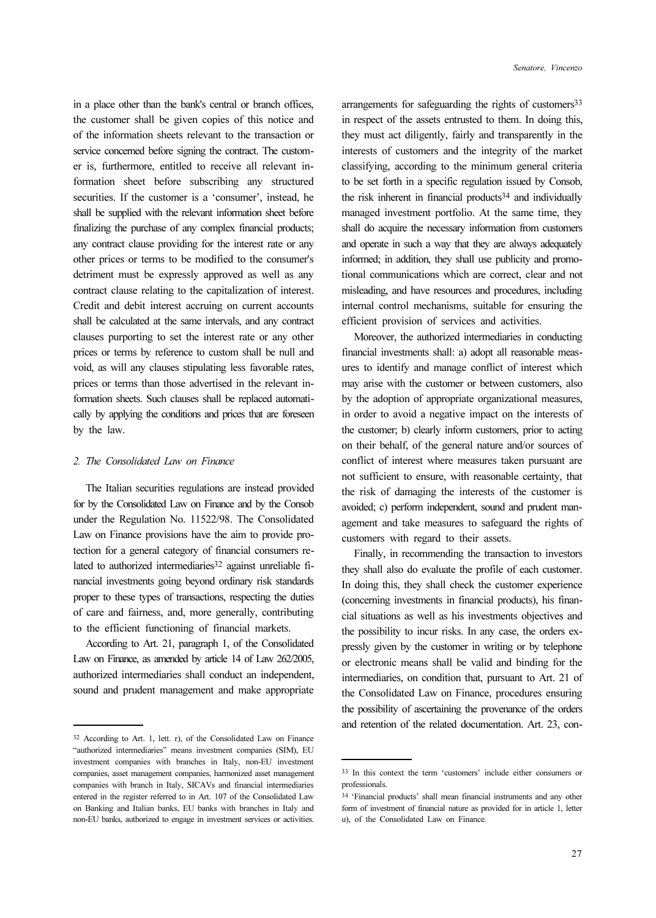in a place other than the bank's central or branch offices, the customer shall be given copies of this notice and of the information sheets relevant to the transaction or service concerned before signing the contract. The customer is, furthermore, entitled to receive all relevant information sheet before subscribing any structured securities. If the customer is a 'consumer', instead, he shall be supplied with the relevant information sheet before finalizing the purchase of any complex financial products; any contract clause providing for the interest rate or any other prices or terms to be modified to the consumer's detriment must be expressly approved as well as any contract clause relating to the capitalization of interest. Credit and debit interest accruing on current accounts shall be calculated at the same intervals, and any contract clauses purporting to set the interest rate or any other prices or terms by reference to custom shall be null and void, as will any clauses stipulating less favorable rates, prices or terms than those advertised in the relevant information sheets. Such clauses shall be replaced automatically by applying the conditions and prices that are foreseen by the law.

### 2. The Consolidated Law on Finance

The Italian securities regulations are instead provided for by the Consolidated Law on Finance and by the Consob under the Regulation No. 11522/98. The Consolidated Law on Finance provisions have the aim to provide protection for a general category of financial consumers related to authorized intermediaries<sup>32</sup> against unreliable financial investments going beyond ordinary risk standards proper to these types of transactions, respecting the duties of care and fairness, and, more generally, contributing to the efficient functioning of financial markets.

According to Art. 21, paragraph 1, of the Consolidated Law on Finance, as amended by article 14 of Law 262/2005, authorized intermediaries shall conduct an independent, sound and prudent management and make appropriate arrangements for safeguarding the rights of customers<sup>33</sup> in respect of the assets entrusted to them. In doing this, they must act diligently, fairly and transparently in the interests of customers and the integrity of the market classifying, according to the minimum general criteria to be set forth in a specific regulation issued by Consob, the risk inherent in financial products<sup>34</sup> and individually managed investment portfolio. At the same time, they shall do acquire the necessary information from customers and operate in such a way that they are always adequately informed; in addition, they shall use publicity and promotional communications which are correct, clear and not misleading, and have resources and procedures, including internal control mechanisms, suitable for ensuring the efficient provision of services and activities.

Moreover, the authorized intermediaries in conducting financial investments shall: a) adopt all reasonable measures to identify and manage conflict of interest which may arise with the customer or between customers, also by the adoption of appropriate organizational measures, in order to avoid a negative impact on the interests of the customer; b) clearly inform customers, prior to acting on their behalf, of the general nature and/or sources of conflict of interest where measures taken pursuant are not sufficient to ensure, with reasonable certainty, that the risk of damaging the interests of the customer is avoided; c) perform independent, sound and prudent management and take measures to safeguard the rights of customers with regard to their assets.

Finally, in recommending the transaction to investors they shall also do evaluate the profile of each customer. In doing this, they shall check the customer experience (concerning investments in financial products), his financial situations as well as his investments objectives and the possibility to incur risks. In any case, the orders expressly given by the customer in writing or by telephone or electronic means shall be valid and binding for the intermediaries, on condition that, pursuant to Art. 21 of the Consolidated Law on Finance, procedures ensuring the possibility of ascertaining the provenance of the orders and retention of the related documentation. Art. 23, con-

<sup>32</sup> According to Art. 1, lett. r), of the Consolidated Law on Finance "authorized intermediaries" means investment companies (SIM), EU investment companies with branches in Italy, non-EU investment companies, asset management companies, harmonized asset management companies with branch in Italy, SICAVs and financial intermediaries entered in the register referred to in Art. 107 of the Consolidated Law on Banking and Italian banks, EU banks with branches in Italy and non-EU banks, authorized to engage in investment services or activities.

<sup>33</sup> In this context the term 'customers' include either consumers or professionals.

<sup>34</sup> 'Financial products' shall mean financial instruments and any other form of investment of financial nature as provided for in article 1, letter u), of the Consolidated Law on Finance.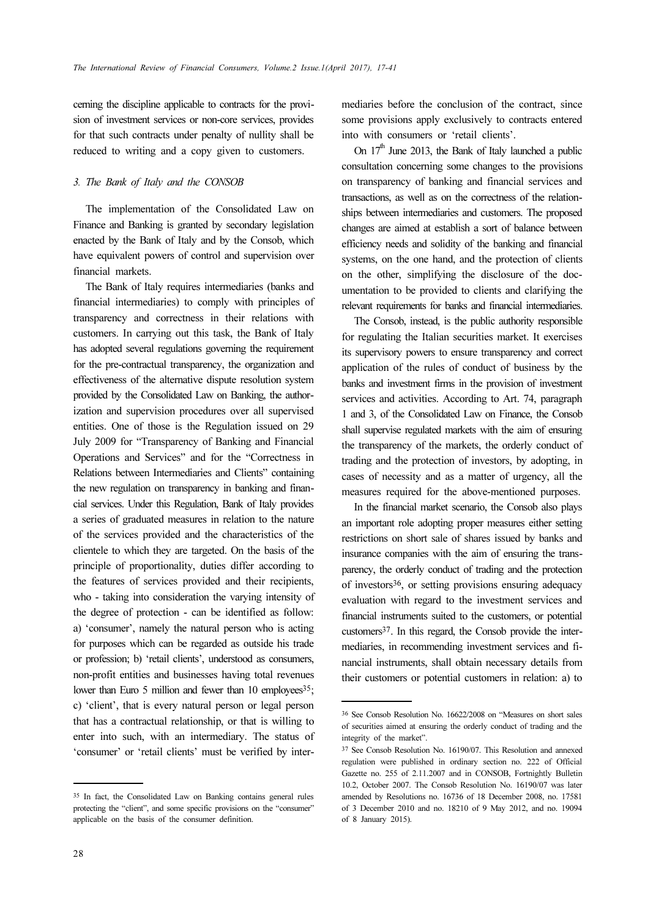cerning the discipline applicable to contracts for the provision of investment services or non-core services, provides for that such contracts under penalty of nullity shall be reduced to writing and a copy given to customers.

#### 3. The Bank of Italy and the CONSOB

The implementation of the Consolidated Law on Finance and Banking is granted by secondary legislation enacted by the Bank of Italy and by the Consob, which have equivalent powers of control and supervision over financial markets.

The Bank of Italy requires intermediaries (banks and financial intermediaries) to comply with principles of transparency and correctness in their relations with customers. In carrying out this task, the Bank of Italy has adopted several regulations governing the requirement for the pre-contractual transparency, the organization and effectiveness of the alternative dispute resolution system provided by the Consolidated Law on Banking, the authorization and supervision procedures over all supervised entities. One of those is the Regulation issued on 29 July 2009 for "Transparency of Banking and Financial Operations and Services" and for the "Correctness in Relations between Intermediaries and Clients" containing the new regulation on transparency in banking and financial services. Under this Regulation, Bank of Italy provides a series of graduated measures in relation to the nature of the services provided and the characteristics of the clientele to which they are targeted. On the basis of the principle of proportionality, duties differ according to the features of services provided and their recipients, who - taking into consideration the varying intensity of the degree of protection - can be identified as follow: a) 'consumer', namely the natural person who is acting for purposes which can be regarded as outside his trade or profession; b) 'retail clients', understood as consumers, non-profit entities and businesses having total revenues lower than Euro 5 million and fewer than 10 employees<sup>35</sup>; c) 'client', that is every natural person or legal person that has a contractual relationship, or that is willing to enter into such, with an intermediary. The status of 'consumer' or 'retail clients' must be verified by inter-

<sup>35</sup> In fact, the Consolidated Law on Banking contains general rules protecting the "client", and some specific provisions on the "consumer" applicable on the basis of the consumer definition.

mediaries before the conclusion of the contract, since some provisions apply exclusively to contracts entered into with consumers or 'retail clients'.

On  $17<sup>th</sup>$  June 2013, the Bank of Italy launched a public consultation concerning some changes to the provisions on transparency of banking and financial services and transactions, as well as on the correctness of the relationships between intermediaries and customers. The proposed changes are aimed at establish a sort of balance between efficiency needs and solidity of the banking and financial systems, on the one hand, and the protection of clients on the other, simplifying the disclosure of the documentation to be provided to clients and clarifying the relevant requirements for banks and financial intermediaries.

The Consob, instead, is the public authority responsible for regulating the Italian securities market. It exercises its supervisory powers to ensure transparency and correct application of the rules of conduct of business by the banks and investment firms in the provision of investment services and activities. According to Art. 74, paragraph 1 and 3, of the Consolidated Law on Finance, the Consob shall supervise regulated markets with the aim of ensuring the transparency of the markets, the orderly conduct of trading and the protection of investors, by adopting, in cases of necessity and as a matter of urgency, all the measures required for the above-mentioned purposes.

In the financial market scenario, the Consob also plays an important role adopting proper measures either setting restrictions on short sale of shares issued by banks and insurance companies with the aim of ensuring the transparency, the orderly conduct of trading and the protection of investors36, or setting provisions ensuring adequacy evaluation with regard to the investment services and financial instruments suited to the customers, or potential customers37. In this regard, the Consob provide the intermediaries, in recommending investment services and financial instruments, shall obtain necessary details from their customers or potential customers in relation: a) to

<sup>36</sup> See Consob Resolution No. 16622/2008 on "Measures on short sales of securities aimed at ensuring the orderly conduct of trading and the integrity of the market".

<sup>37</sup> See Consob Resolution No. 16190/07. This Resolution and annexed regulation were published in ordinary section no. 222 of Official Gazette no. 255 of 2.11.2007 and in CONSOB, Fortnightly Bulletin 10.2, October 2007. The Consob Resolution No. 16190/07 was later amended by Resolutions no. 16736 of 18 December 2008, no. 17581 of 3 December 2010 and no. 18210 of 9 May 2012, and no. 19094 of 8 January 2015).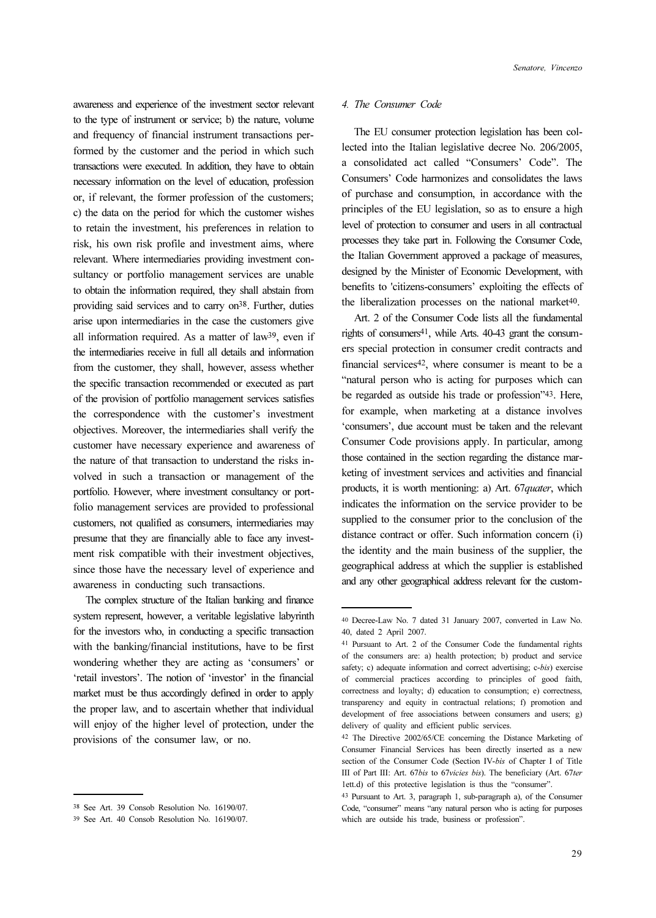awareness and experience of the investment sector relevant to the type of instrument or service; b) the nature, volume and frequency of financial instrument transactions performed by the customer and the period in which such transactions were executed. In addition, they have to obtain necessary information on the level of education, profession or, if relevant, the former profession of the customers; c) the data on the period for which the customer wishes to retain the investment, his preferences in relation to risk, his own risk profile and investment aims, where relevant. Where intermediaries providing investment consultancy or portfolio management services are unable to obtain the information required, they shall abstain from providing said services and to carry on38. Further, duties arise upon intermediaries in the case the customers give all information required. As a matter of law39, even if the intermediaries receive in full all details and information from the customer, they shall, however, assess whether the specific transaction recommended or executed as part of the provision of portfolio management services satisfies the correspondence with the customer's investment objectives. Moreover, the intermediaries shall verify the customer have necessary experience and awareness of the nature of that transaction to understand the risks involved in such a transaction or management of the portfolio. However, where investment consultancy or portfolio management services are provided to professional customers, not qualified as consumers, intermediaries may presume that they are financially able to face any investment risk compatible with their investment objectives, since those have the necessary level of experience and awareness in conducting such transactions.

The complex structure of the Italian banking and finance system represent, however, a veritable legislative labyrinth for the investors who, in conducting a specific transaction with the banking/financial institutions, have to be first wondering whether they are acting as 'consumers' or 'retail investors'. The notion of 'investor' in the financial market must be thus accordingly defined in order to apply the proper law, and to ascertain whether that individual will enjoy of the higher level of protection, under the provisions of the consumer law, or no.

### 4. The Consumer Code

The EU consumer protection legislation has been collected into the Italian legislative decree No. 206/2005, a consolidated act called "Consumers' Code". The Consumers' Code harmonizes and consolidates the laws of purchase and consumption, in accordance with the principles of the EU legislation, so as to ensure a high level of protection to consumer and users in all contractual processes they take part in. Following the Consumer Code, the Italian Government approved a package of measures, designed by the Minister of Economic Development, with benefits to 'citizens-consumers' exploiting the effects of the liberalization processes on the national market<sup>40</sup>.

Art. 2 of the Consumer Code lists all the fundamental rights of consumers<sup>41</sup>, while Arts. 40-43 grant the consumers special protection in consumer credit contracts and financial services<sup>42</sup>, where consumer is meant to be a "natural person who is acting for purposes which can be regarded as outside his trade or profession"43. Here, for example, when marketing at a distance involves 'consumers', due account must be taken and the relevant Consumer Code provisions apply. In particular, among those contained in the section regarding the distance marketing of investment services and activities and financial products, it is worth mentioning: a) Art. 67*quater*, which indicates the information on the service provider to be supplied to the consumer prior to the conclusion of the distance contract or offer. Such information concern (i) the identity and the main business of the supplier, the geographical address at which the supplier is established and any other geographical address relevant for the custom-

<sup>38</sup> See Art. 39 Consob Resolution No. 16190/07.

<sup>39</sup> See Art. 40 Consob Resolution No. 16190/07.

<sup>40</sup> Decree-Law No. 7 dated 31 January 2007, converted in Law No. 40, dated 2 April 2007.

<sup>41</sup> Pursuant to Art. 2 of the Consumer Code the fundamental rights of the consumers are: a) health protection; b) product and service safety; c) adequate information and correct advertising; c-bis) exercise of commercial practices according to principles of good faith, correctness and loyalty; d) education to consumption; e) correctness, transparency and equity in contractual relations; f) promotion and development of free associations between consumers and users; g) delivery of quality and efficient public services.

<sup>42</sup> The Directive 2002/65/CE concerning the Distance Marketing of Consumer Financial Services has been directly inserted as a new section of the Consumer Code (Section IV-bis of Chapter I of Title III of Part III: Art. 67bis to 67vicies bis). The beneficiary (Art. 67ter 1ett.d) of this protective legislation is thus the "consumer".

<sup>43</sup> Pursuant to Art. 3, paragraph 1, sub-paragraph a), of the Consumer Code, "consumer" means "any natural person who is acting for purposes which are outside his trade, business or profession".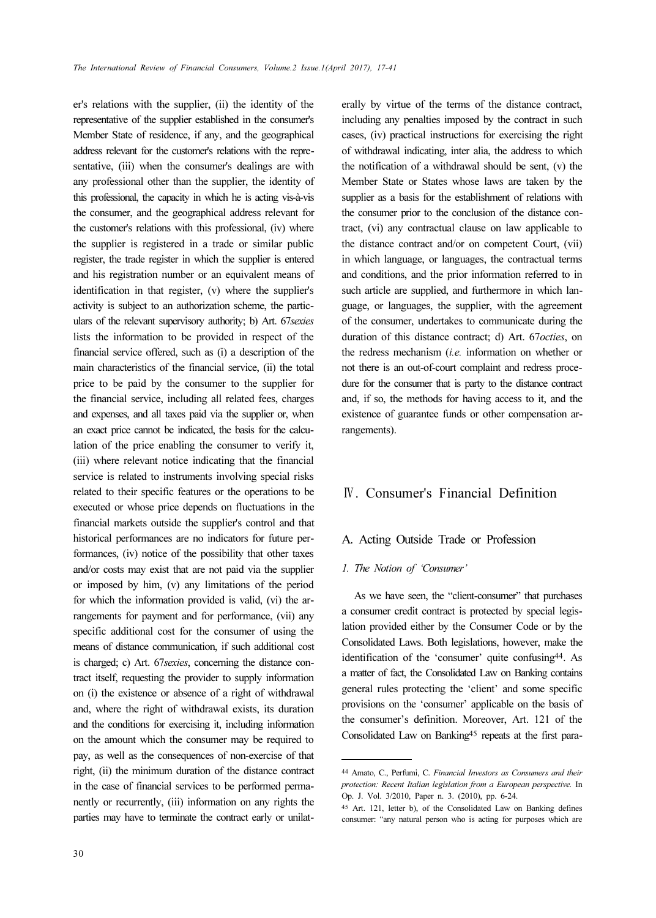er's relations with the supplier, (ii) the identity of the representative of the supplier established in the consumer's Member State of residence, if any, and the geographical address relevant for the customer's relations with the representative, (iii) when the consumer's dealings are with any professional other than the supplier, the identity of this professional, the capacity in which he is acting vis-à-vis the consumer, and the geographical address relevant for the customer's relations with this professional, (iv) where the supplier is registered in a trade or similar public register, the trade register in which the supplier is entered and his registration number or an equivalent means of identification in that register, (v) where the supplier's activity is subject to an authorization scheme, the particulars of the relevant supervisory authority; b) Art. 67sexies lists the information to be provided in respect of the financial service offered, such as (i) a description of the main characteristics of the financial service, (ii) the total price to be paid by the consumer to the supplier for the financial service, including all related fees, charges and expenses, and all taxes paid via the supplier or, when an exact price cannot be indicated, the basis for the calculation of the price enabling the consumer to verify it, (iii) where relevant notice indicating that the financial service is related to instruments involving special risks related to their specific features or the operations to be executed or whose price depends on fluctuations in the financial markets outside the supplier's control and that historical performances are no indicators for future performances, (iv) notice of the possibility that other taxes and/or costs may exist that are not paid via the supplier or imposed by him, (v) any limitations of the period for which the information provided is valid, (vi) the arrangements for payment and for performance, (vii) any specific additional cost for the consumer of using the means of distance communication, if such additional cost is charged; c) Art. 67sexies, concerning the distance contract itself, requesting the provider to supply information on (i) the existence or absence of a right of withdrawal and, where the right of withdrawal exists, its duration and the conditions for exercising it, including information on the amount which the consumer may be required to pay, as well as the consequences of non-exercise of that right, (ii) the minimum duration of the distance contract in the case of financial services to be performed permanently or recurrently, (iii) information on any rights the parties may have to terminate the contract early or unilaterally by virtue of the terms of the distance contract, including any penalties imposed by the contract in such cases, (iv) practical instructions for exercising the right of withdrawal indicating, inter alia, the address to which the notification of a withdrawal should be sent, (v) the Member State or States whose laws are taken by the supplier as a basis for the establishment of relations with the consumer prior to the conclusion of the distance contract, (vi) any contractual clause on law applicable to the distance contract and/or on competent Court, (vii) in which language, or languages, the contractual terms and conditions, and the prior information referred to in such article are supplied, and furthermore in which language, or languages, the supplier, with the agreement of the consumer, undertakes to communicate during the duration of this distance contract; d) Art. 67octies, on the redress mechanism (i.e. information on whether or not there is an out-of-court complaint and redress procedure for the consumer that is party to the distance contract and, if so, the methods for having access to it, and the existence of guarantee funds or other compensation arrangements).

# Ⅳ. Consumer's Financial Definition

## A. Acting Outside Trade or Profession

#### 1. The Notion of 'Consumer'

As we have seen, the "client-consumer" that purchases a consumer credit contract is protected by special legislation provided either by the Consumer Code or by the Consolidated Laws. Both legislations, however, make the identification of the 'consumer' quite confusing44. As a matter of fact, the Consolidated Law on Banking contains general rules protecting the 'client' and some specific provisions on the 'consumer' applicable on the basis of the consumer's definition. Moreover, Art. 121 of the Consolidated Law on Banking45 repeats at the first para-

<sup>44</sup> Amato, C., Perfumi, C. Financial Investors as Consumers and their protection: Recent Italian legislation from a European perspective. In Op. J. Vol. 3/2010, Paper n. 3. (2010), pp. 6-24.

<sup>45</sup> Art. 121, letter b), of the Consolidated Law on Banking defines consumer: "any natural person who is acting for purposes which are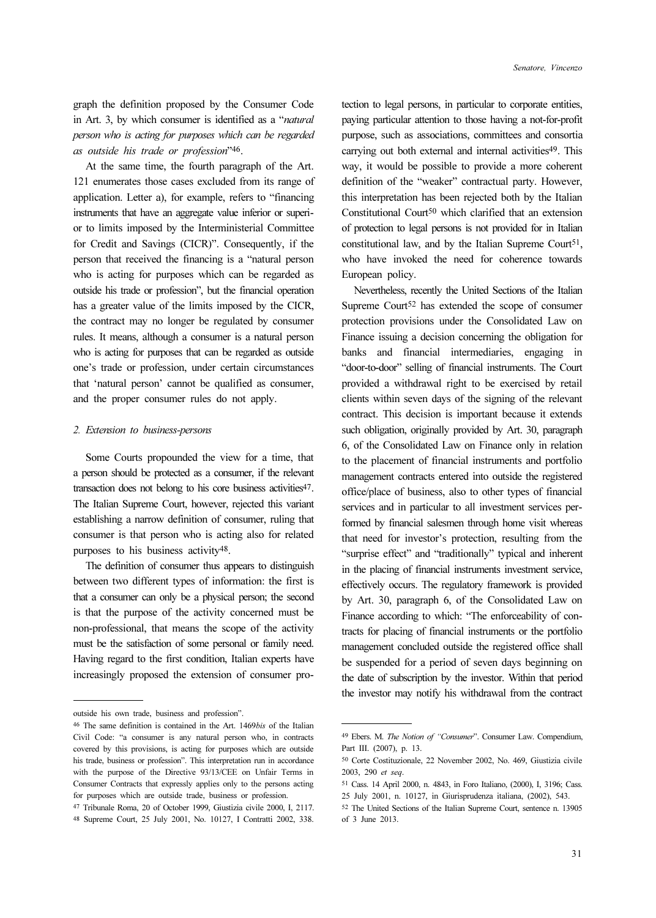graph the definition proposed by the Consumer Code in Art. 3, by which consumer is identified as a "natural person who is acting for purposes which can be regarded as outside his trade or profession"46.

At the same time, the fourth paragraph of the Art. 121 enumerates those cases excluded from its range of application. Letter a), for example, refers to "financing instruments that have an aggregate value inferior or superior to limits imposed by the Interministerial Committee for Credit and Savings (CICR)". Consequently, if the person that received the financing is a "natural person who is acting for purposes which can be regarded as outside his trade or profession", but the financial operation has a greater value of the limits imposed by the CICR, the contract may no longer be regulated by consumer rules. It means, although a consumer is a natural person who is acting for purposes that can be regarded as outside one's trade or profession, under certain circumstances that 'natural person' cannot be qualified as consumer, and the proper consumer rules do not apply.

### 2. Extension to business-persons

Some Courts propounded the view for a time, that a person should be protected as a consumer, if the relevant transaction does not belong to his core business activities47. The Italian Supreme Court, however, rejected this variant establishing a narrow definition of consumer, ruling that consumer is that person who is acting also for related purposes to his business activity48.

The definition of consumer thus appears to distinguish between two different types of information: the first is that a consumer can only be a physical person; the second is that the purpose of the activity concerned must be non-professional, that means the scope of the activity must be the satisfaction of some personal or family need. Having regard to the first condition, Italian experts have increasingly proposed the extension of consumer protection to legal persons, in particular to corporate entities, paying particular attention to those having a not-for-profit purpose, such as associations, committees and consortia carrying out both external and internal activities<sup>49</sup>. This way, it would be possible to provide a more coherent definition of the "weaker" contractual party. However, this interpretation has been rejected both by the Italian Constitutional Court50 which clarified that an extension of protection to legal persons is not provided for in Italian constitutional law, and by the Italian Supreme Court<sup>51</sup>, who have invoked the need for coherence towards European policy.

Nevertheless, recently the United Sections of the Italian Supreme Court<sup>52</sup> has extended the scope of consumer protection provisions under the Consolidated Law on Finance issuing a decision concerning the obligation for banks and financial intermediaries, engaging in "door-to-door" selling of financial instruments. The Court provided a withdrawal right to be exercised by retail clients within seven days of the signing of the relevant contract. This decision is important because it extends such obligation, originally provided by Art. 30, paragraph 6, of the Consolidated Law on Finance only in relation to the placement of financial instruments and portfolio management contracts entered into outside the registered office/place of business, also to other types of financial services and in particular to all investment services performed by financial salesmen through home visit whereas that need for investor's protection, resulting from the "surprise effect" and "traditionally" typical and inherent in the placing of financial instruments investment service, effectively occurs. The regulatory framework is provided by Art. 30, paragraph 6, of the Consolidated Law on Finance according to which: "The enforceability of contracts for placing of financial instruments or the portfolio management concluded outside the registered office shall be suspended for a period of seven days beginning on the date of subscription by the investor. Within that period the investor may notify his withdrawal from the contract

outside his own trade, business and profession".

<sup>46</sup> The same definition is contained in the Art. 1469bis of the Italian Civil Code: "a consumer is any natural person who, in contracts covered by this provisions, is acting for purposes which are outside his trade, business or profession". This interpretation run in accordance with the purpose of the Directive 93/13/CEE on Unfair Terms in Consumer Contracts that expressly applies only to the persons acting for purposes which are outside trade, business or profession.

<sup>47</sup> Tribunale Roma, 20 of October 1999, Giustizia civile 2000, I, 2117. <sup>48</sup> Supreme Court, 25 July 2001, No. 10127, I Contratti 2002, 338.

<sup>49</sup> Ebers. M. The Notion of "Consumer". Consumer Law. Compendium, Part III. (2007), p. 13.

<sup>50</sup> Corte Costituzionale, 22 November 2002, No. 469, Giustizia civile 2003, 290 et seq.

<sup>51</sup> Cass. 14 April 2000, n. 4843, in Foro Italiano, (2000), I, 3196; Cass. 25 July 2001, n. 10127, in Giurisprudenza italiana, (2002), 543.

<sup>52</sup> The United Sections of the Italian Supreme Court, sentence n. 13905 of 3 June 2013.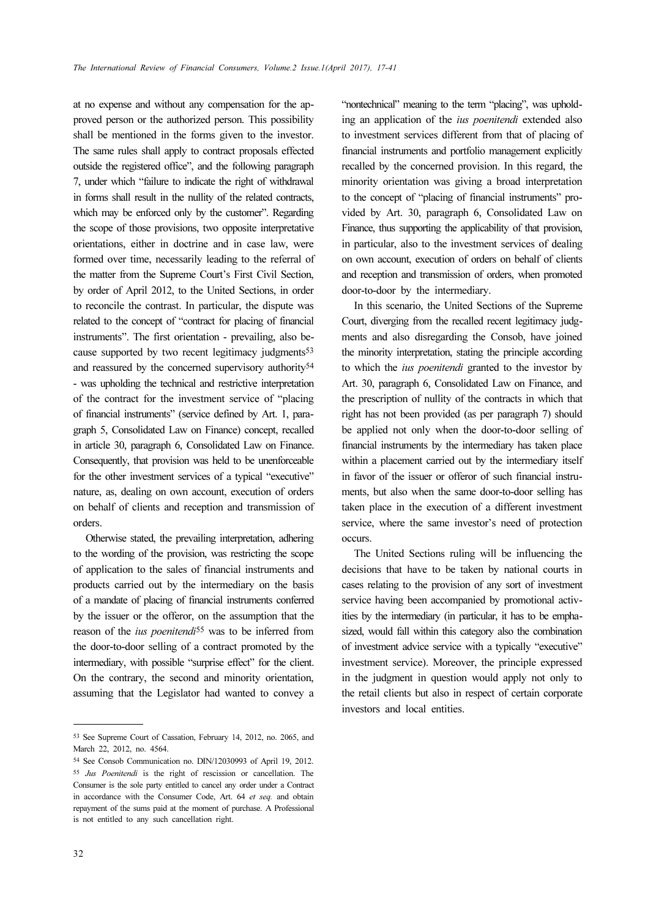at no expense and without any compensation for the approved person or the authorized person. This possibility shall be mentioned in the forms given to the investor. The same rules shall apply to contract proposals effected outside the registered office", and the following paragraph 7, under which "failure to indicate the right of withdrawal in forms shall result in the nullity of the related contracts, which may be enforced only by the customer". Regarding the scope of those provisions, two opposite interpretative orientations, either in doctrine and in case law, were formed over time, necessarily leading to the referral of the matter from the Supreme Court's First Civil Section, by order of April 2012, to the United Sections, in order to reconcile the contrast. In particular, the dispute was related to the concept of "contract for placing of financial instruments". The first orientation - prevailing, also because supported by two recent legitimacy judgments<sup>53</sup> and reassured by the concerned supervisory authority<sup>54</sup> - was upholding the technical and restrictive interpretation of the contract for the investment service of "placing of financial instruments" (service defined by Art. 1, paragraph 5, Consolidated Law on Finance) concept, recalled in article 30, paragraph 6, Consolidated Law on Finance. Consequently, that provision was held to be unenforceable for the other investment services of a typical "executive" nature, as, dealing on own account, execution of orders on behalf of clients and reception and transmission of orders.

Otherwise stated, the prevailing interpretation, adhering to the wording of the provision, was restricting the scope of application to the sales of financial instruments and products carried out by the intermediary on the basis of a mandate of placing of financial instruments conferred by the issuer or the offeror, on the assumption that the reason of the *ius poenitendi*<sup>55</sup> was to be inferred from the door-to-door selling of a contract promoted by the intermediary, with possible "surprise effect" for the client. On the contrary, the second and minority orientation, assuming that the Legislator had wanted to convey a

"nontechnical" meaning to the term "placing", was upholding an application of the ius poenitendi extended also to investment services different from that of placing of financial instruments and portfolio management explicitly recalled by the concerned provision. In this regard, the minority orientation was giving a broad interpretation to the concept of "placing of financial instruments" provided by Art. 30, paragraph 6, Consolidated Law on Finance, thus supporting the applicability of that provision, in particular, also to the investment services of dealing on own account, execution of orders on behalf of clients and reception and transmission of orders, when promoted door-to-door by the intermediary.

In this scenario, the United Sections of the Supreme Court, diverging from the recalled recent legitimacy judgments and also disregarding the Consob, have joined the minority interpretation, stating the principle according to which the ius poenitendi granted to the investor by Art. 30, paragraph 6, Consolidated Law on Finance, and the prescription of nullity of the contracts in which that right has not been provided (as per paragraph 7) should be applied not only when the door-to-door selling of financial instruments by the intermediary has taken place within a placement carried out by the intermediary itself in favor of the issuer or offeror of such financial instruments, but also when the same door-to-door selling has taken place in the execution of a different investment service, where the same investor's need of protection occurs.

The United Sections ruling will be influencing the decisions that have to be taken by national courts in cases relating to the provision of any sort of investment service having been accompanied by promotional activities by the intermediary (in particular, it has to be emphasized, would fall within this category also the combination of investment advice service with a typically "executive" investment service). Moreover, the principle expressed in the judgment in question would apply not only to the retail clients but also in respect of certain corporate investors and local entities.

<sup>53</sup> See Supreme Court of Cassation, February 14, 2012, no. 2065, and March 22, 2012, no. 4564.

<sup>54</sup> See Consob Communication no. DIN/12030993 of April 19, 2012. <sup>55</sup> Jus Poenitendi is the right of rescission or cancellation. The Consumer is the sole party entitled to cancel any order under a Contract in accordance with the Consumer Code, Art. 64 et seq. and obtain repayment of the sums paid at the moment of purchase. A Professional is not entitled to any such cancellation right.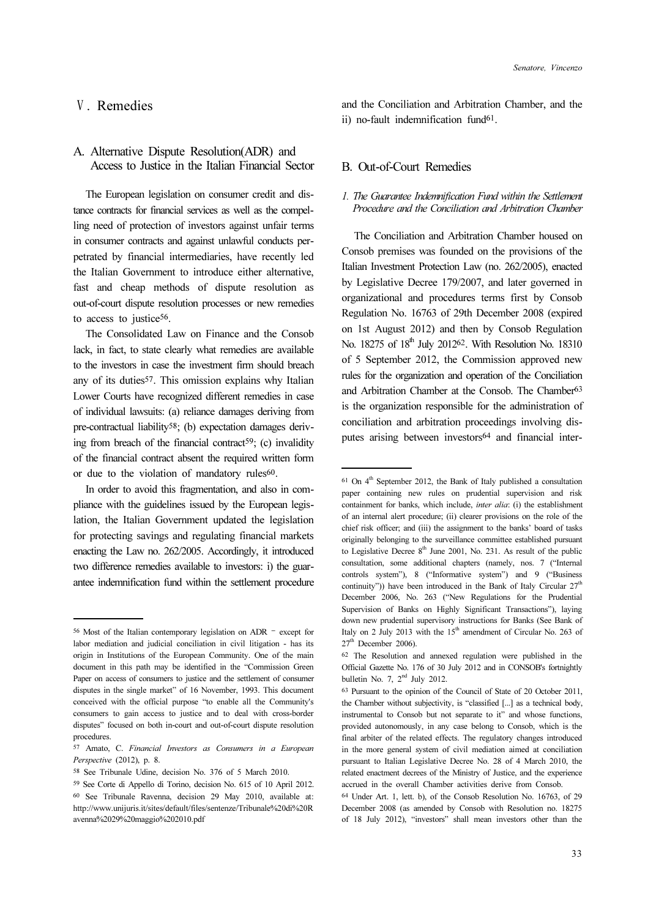# Ⅴ. Remedies

## A. Alternative Dispute Resolution(ADR) and Access to Justice in the Italian Financial Sector

The European legislation on consumer credit and distance contracts for financial services as well as the compelling need of protection of investors against unfair terms in consumer contracts and against unlawful conducts perpetrated by financial intermediaries, have recently led the Italian Government to introduce either alternative, fast and cheap methods of dispute resolution as out-of-court dispute resolution processes or new remedies to access to justice56.

The Consolidated Law on Finance and the Consob lack, in fact, to state clearly what remedies are available to the investors in case the investment firm should breach any of its duties<sup>57</sup>. This omission explains why Italian Lower Courts have recognized different remedies in case of individual lawsuits: (a) reliance damages deriving from pre-contractual liability58; (b) expectation damages deriving from breach of the financial contract<sup>59</sup>; (c) invalidity of the financial contract absent the required written form or due to the violation of mandatory rules<sup>60</sup>.

In order to avoid this fragmentation, and also in compliance with the guidelines issued by the European legislation, the Italian Government updated the legislation for protecting savings and regulating financial markets enacting the Law no. 262/2005. Accordingly, it introduced two difference remedies available to investors: i) the guarantee indemnification fund within the settlement procedure

and the Conciliation and Arbitration Chamber, and the ii) no-fault indemnification fund<sup>61</sup>.

## B. Out-of-Court Remedies

## 1. The Guarantee Indemnification Fund within the Settlement Procedure and the Conciliation and Arbitration Chamber

The Conciliation and Arbitration Chamber housed on Consob premises was founded on the provisions of the Italian Investment Protection Law (no. 262/2005), enacted by Legislative Decree 179/2007, and later governed in organizational and procedures terms first by Consob Regulation No. 16763 of 29th December 2008 (expired on 1st August 2012) and then by Consob Regulation No. 18275 of 18<sup>th</sup> July 2012<sup>62</sup>. With Resolution No. 18310 of 5 September 2012, the Commission approved new rules for the organization and operation of the Conciliation and Arbitration Chamber at the Consob. The Chamber<sup>63</sup> is the organization responsible for the administration of conciliation and arbitration proceedings involving disputes arising between investors<sup>64</sup> and financial inter-

<sup>56</sup> Most of the Italian contemporary legislation on ADR – except for labor mediation and judicial conciliation in civil litigation - has its origin in Institutions of the European Community. One of the main document in this path may be identified in the "Commission Green Paper on access of consumers to justice and the settlement of consumer disputes in the single market" of 16 November, 1993. This document conceived with the official purpose "to enable all the Community's consumers to gain access to justice and to deal with cross-border disputes" focused on both in-court and out-of-court dispute resolution procedures.

<sup>57</sup> Amato, C. Financial Investors as Consumers in a European Perspective (2012), p. 8.

<sup>58</sup> See Tribunale Udine, decision No. 376 of 5 March 2010.

<sup>59</sup> See Corte di Appello di Torino, decision No. 615 of 10 April 2012. <sup>60</sup> See Tribunale Ravenna, decision 29 May 2010, available at: http://www.unijuris.it/sites/default/files/sentenze/Tribunale%20di%20R avenna%2029%20maggio%202010.pdf

 $61$  On  $4<sup>th</sup>$  September 2012, the Bank of Italy published a consultation paper containing new rules on prudential supervision and risk containment for banks, which include, inter alia: (i) the establishment of an internal alert procedure; (ii) clearer provisions on the role of the chief risk officer; and (iii) the assignment to the banks' board of tasks originally belonging to the surveillance committee established pursuant to Legislative Decree  $8<sup>th</sup>$  June 2001, No. 231. As result of the public consultation, some additional chapters (namely, nos. 7 ("Internal controls system"), 8 ("Informative system") and 9 ("Business continuity")) have been introduced in the Bank of Italy Circular  $27<sup>th</sup>$ December 2006, No. 263 ("New Regulations for the Prudential Supervision of Banks on Highly Significant Transactions"), laying down new prudential supervisory instructions for Banks (See Bank of Italy on 2 July 2013 with the  $15<sup>th</sup>$  amendment of Circular No. 263 of  $27<sup>th</sup>$  December 2006).

<sup>62</sup> The Resolution and annexed regulation were published in the Official Gazette No. 176 of 30 July 2012 and in CONSOB's fortnightly bulletin No. 7,  $2<sup>nd</sup>$  July 2012.

<sup>63</sup> Pursuant to the opinion of the Council of State of 20 October 2011, the Chamber without subjectivity, is "classified [...] as a technical body, instrumental to Consob but not separate to it" and whose functions, provided autonomously, in any case belong to Consob, which is the final arbiter of the related effects. The regulatory changes introduced in the more general system of civil mediation aimed at conciliation pursuant to Italian Legislative Decree No. 28 of 4 March 2010, the related enactment decrees of the Ministry of Justice, and the experience accrued in the overall Chamber activities derive from Consob.

<sup>64</sup> Under Art. 1, lett. b), of the Consob Resolution No. 16763, of 29 December 2008 (as amended by Consob with Resolution no. 18275 of 18 July 2012), "investors" shall mean investors other than the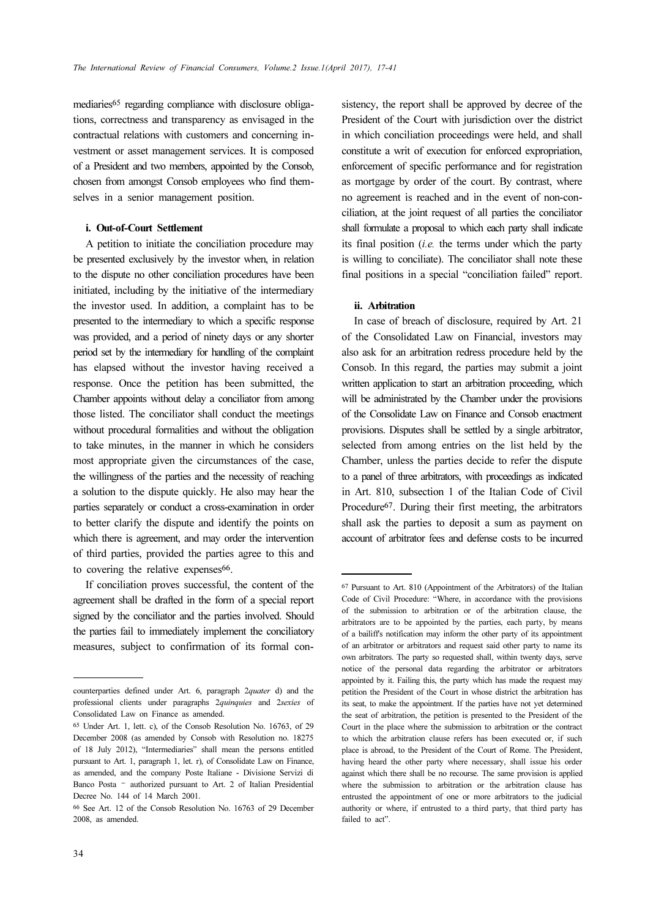mediaries<sup>65</sup> regarding compliance with disclosure obligations, correctness and transparency as envisaged in the contractual relations with customers and concerning investment or asset management services. It is composed of a President and two members, appointed by the Consob, chosen from amongst Consob employees who find themselves in a senior management position.

## i. Out-of-Court Settlement

A petition to initiate the conciliation procedure may be presented exclusively by the investor when, in relation to the dispute no other conciliation procedures have been initiated, including by the initiative of the intermediary the investor used. In addition, a complaint has to be presented to the intermediary to which a specific response was provided, and a period of ninety days or any shorter period set by the intermediary for handling of the complaint has elapsed without the investor having received a response. Once the petition has been submitted, the Chamber appoints without delay a conciliator from among those listed. The conciliator shall conduct the meetings without procedural formalities and without the obligation to take minutes, in the manner in which he considers most appropriate given the circumstances of the case, the willingness of the parties and the necessity of reaching a solution to the dispute quickly. He also may hear the parties separately or conduct a cross-examination in order to better clarify the dispute and identify the points on which there is agreement, and may order the intervention of third parties, provided the parties agree to this and to covering the relative expenses<sup>66</sup>.

If conciliation proves successful, the content of the agreement shall be drafted in the form of a special report signed by the conciliator and the parties involved. Should the parties fail to immediately implement the conciliatory measures, subject to confirmation of its formal consistency, the report shall be approved by decree of the President of the Court with jurisdiction over the district in which conciliation proceedings were held, and shall constitute a writ of execution for enforced expropriation, enforcement of specific performance and for registration as mortgage by order of the court. By contrast, where no agreement is reached and in the event of non-conciliation, at the joint request of all parties the conciliator shall formulate a proposal to which each party shall indicate its final position  $(i.e.$  the terms under which the party is willing to conciliate). The conciliator shall note these final positions in a special "conciliation failed" report.

## ii. Arbitration

In case of breach of disclosure, required by Art. 21 of the Consolidated Law on Financial, investors may also ask for an arbitration redress procedure held by the Consob. In this regard, the parties may submit a joint written application to start an arbitration proceeding, which will be administrated by the Chamber under the provisions of the Consolidate Law on Finance and Consob enactment provisions. Disputes shall be settled by a single arbitrator, selected from among entries on the list held by the Chamber, unless the parties decide to refer the dispute to a panel of three arbitrators, with proceedings as indicated in Art. 810, subsection 1 of the Italian Code of Civil Procedure67. During their first meeting, the arbitrators shall ask the parties to deposit a sum as payment on account of arbitrator fees and defense costs to be incurred

counterparties defined under Art. 6, paragraph 2quater d) and the professional clients under paragraphs 2quinquies and 2sexies of Consolidated Law on Finance as amended.

<sup>65</sup> Under Art. 1, lett. c), of the Consob Resolution No. 16763, of 29 December 2008 (as amended by Consob with Resolution no. 18275 of 18 July 2012), "Intermediaries" shall mean the persons entitled pursuant to Art. 1, paragraph 1, let. r), of Consolidate Law on Finance, as amended, and the company Poste Italiane - Divisione Servizi di Banco Posta – authorized pursuant to Art. 2 of Italian Presidential Decree No. 144 of 14 March 2001.

<sup>66</sup> See Art. 12 of the Consob Resolution No. 16763 of 29 December 2008, as amended.

<sup>67</sup> Pursuant to Art. 810 (Appointment of the Arbitrators) of the Italian Code of Civil Procedure: "Where, in accordance with the provisions of the submission to arbitration or of the arbitration clause, the arbitrators are to be appointed by the parties, each party, by means of a bailiff's notification may inform the other party of its appointment of an arbitrator or arbitrators and request said other party to name its own arbitrators. The party so requested shall, within twenty days, serve notice of the personal data regarding the arbitrator or arbitrators appointed by it. Failing this, the party which has made the request may petition the President of the Court in whose district the arbitration has its seat, to make the appointment. If the parties have not yet determined the seat of arbitration, the petition is presented to the President of the Court in the place where the submission to arbitration or the contract to which the arbitration clause refers has been executed or, if such place is abroad, to the President of the Court of Rome. The President, having heard the other party where necessary, shall issue his order against which there shall be no recourse. The same provision is applied where the submission to arbitration or the arbitration clause has entrusted the appointment of one or more arbitrators to the judicial authority or where, if entrusted to a third party, that third party has failed to act".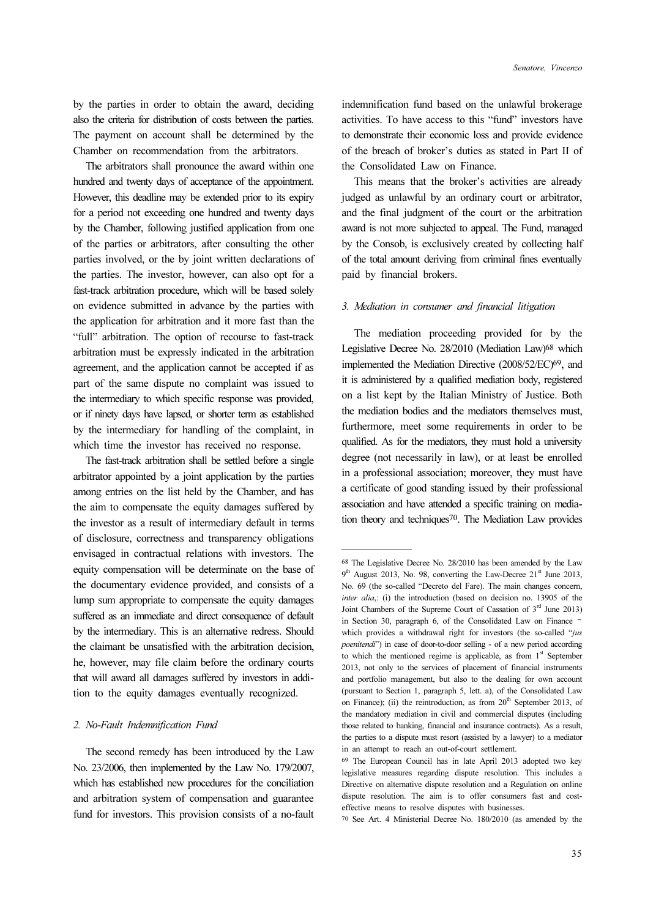by the parties in order to obtain the award, deciding also the criteria for distribution of costs between the parties. The payment on account shall be determined by the Chamber on recommendation from the arbitrators.

The arbitrators shall pronounce the award within one hundred and twenty days of acceptance of the appointment. However, this deadline may be extended prior to its expiry for a period not exceeding one hundred and twenty days by the Chamber, following justified application from one of the parties or arbitrators, after consulting the other parties involved, or the by joint written declarations of the parties. The investor, however, can also opt for a fast-track arbitration procedure, which will be based solely on evidence submitted in advance by the parties with the application for arbitration and it more fast than the "full" arbitration. The option of recourse to fast-track arbitration must be expressly indicated in the arbitration agreement, and the application cannot be accepted if as part of the same dispute no complaint was issued to the intermediary to which specific response was provided, or if ninety days have lapsed, or shorter term as established by the intermediary for handling of the complaint, in which time the investor has received no response.

The fast-track arbitration shall be settled before a single arbitrator appointed by a joint application by the parties among entries on the list held by the Chamber, and has the aim to compensate the equity damages suffered by the investor as a result of intermediary default in terms of disclosure, correctness and transparency obligations envisaged in contractual relations with investors. The equity compensation will be determinate on the base of the documentary evidence provided, and consists of a lump sum appropriate to compensate the equity damages suffered as an immediate and direct consequence of default by the intermediary. This is an alternative redress. Should the claimant be unsatisfied with the arbitration decision, he, however, may file claim before the ordinary courts that will award all damages suffered by investors in addition to the equity damages eventually recognized.

### 2. No-Fault Indemnification Fund

The second remedy has been introduced by the Law No. 23/2006, then implemented by the Law No. 179/2007, which has established new procedures for the conciliation and arbitration system of compensation and guarantee fund for investors. This provision consists of a no-fault

indemnification fund based on the unlawful brokerage activities. To have access to this "fund" investors have to demonstrate their economic loss and provide evidence of the breach of broker's duties as stated in Part II of the Consolidated Law on Finance.

This means that the broker's activities are already judged as unlawful by an ordinary court or arbitrator, and the final judgment of the court or the arbitration award is not more subjected to appeal. The Fund, managed by the Consob, is exclusively created by collecting half of the total amount deriving from criminal fines eventually paid by financial brokers.

## 3. Mediation in consumer and financial litigation

The mediation proceeding provided for by the Legislative Decree No. 28/2010 (Mediation Law)68 which implemented the Mediation Directive (2008/52/EC)69, and it is administered by a qualified mediation body, registered on a list kept by the Italian Ministry of Justice. Both the mediation bodies and the mediators themselves must, furthermore, meet some requirements in order to be qualified. As for the mediators, they must hold a university degree (not necessarily in law), or at least be enrolled in a professional association; moreover, they must have a certificate of good standing issued by their professional association and have attended a specific training on mediation theory and techniques<sup>70</sup>. The Mediation Law provides

<sup>68</sup> The Legislative Decree No. 28/2010 has been amended by the Law 9<sup>th</sup> August 2013, No. 98, converting the Law-Decree 21<sup>st</sup> June 2013, No. 69 (the so-called "Decreto del Fare). The main changes concern, inter alia,: (i) the introduction (based on decision no. 13905 of the Joint Chambers of the Supreme Court of Cassation of  $3<sup>rd</sup>$  June 2013) in Section 30, paragraph 6, of the Consolidated Law on Finance – which provides a withdrawal right for investors (the so-called "jus poenitendi") in case of door-to-door selling - of a new period according to which the mentioned regime is applicable, as from  $1<sup>st</sup>$  September 2013, not only to the services of placement of financial instruments and portfolio management, but also to the dealing for own account (pursuant to Section 1, paragraph 5, lett. a), of the Consolidated Law on Finance); (ii) the reintroduction, as from  $20<sup>th</sup>$  September 2013, of the mandatory mediation in civil and commercial disputes (including those related to banking, financial and insurance contracts). As a result, the parties to a dispute must resort (assisted by a lawyer) to a mediator in an attempt to reach an out-of-court settlement.

<sup>69</sup> The European Council has in late April 2013 adopted two key legislative measures regarding dispute resolution. This includes a Directive on alternative dispute resolution and a Regulation on online dispute resolution. The aim is to offer consumers fast and costeffective means to resolve disputes with businesses.

<sup>70</sup> See Art. 4 Ministerial Decree No. 180/2010 (as amended by the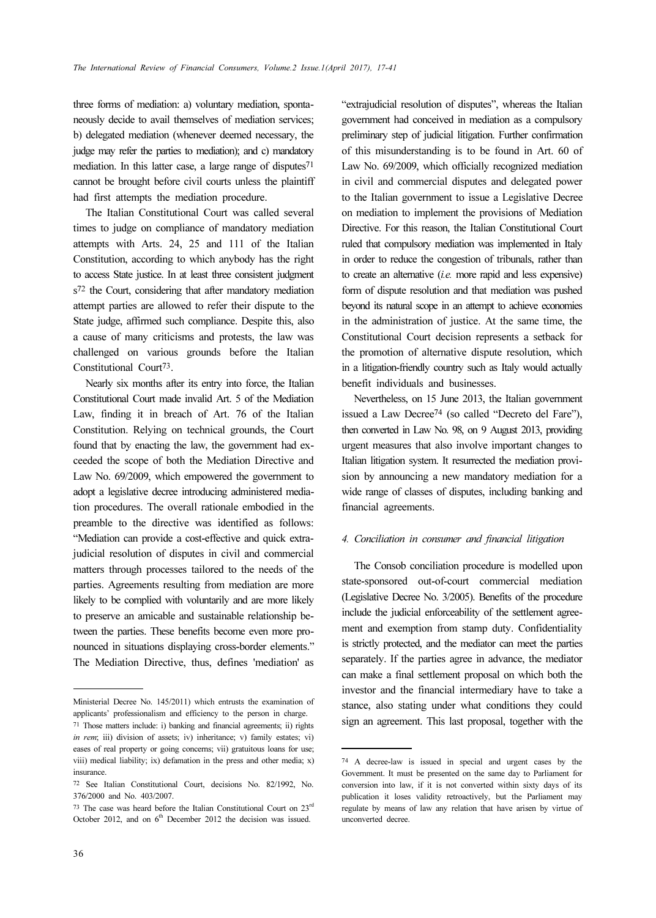three forms of mediation: a) voluntary mediation, spontaneously decide to avail themselves of mediation services; b) delegated mediation (whenever deemed necessary, the judge may refer the parties to mediation); and c) mandatory mediation. In this latter case, a large range of disputes<sup>71</sup> cannot be brought before civil courts unless the plaintiff had first attempts the mediation procedure.

The Italian Constitutional Court was called several times to judge on compliance of mandatory mediation attempts with Arts. 24, 25 and 111 of the Italian Constitution, according to which anybody has the right to access State justice. In at least three consistent judgment s72 the Court, considering that after mandatory mediation attempt parties are allowed to refer their dispute to the State judge, affirmed such compliance. Despite this, also a cause of many criticisms and protests, the law was challenged on various grounds before the Italian Constitutional Court73.

Nearly six months after its entry into force, the Italian Constitutional Court made invalid Art. 5 of the Mediation Law, finding it in breach of Art. 76 of the Italian Constitution. Relying on technical grounds, the Court found that by enacting the law, the government had exceeded the scope of both the Mediation Directive and Law No. 69/2009, which empowered the government to adopt a legislative decree introducing administered mediation procedures. The overall rationale embodied in the preamble to the directive was identified as follows: "Mediation can provide a cost-effective and quick extrajudicial resolution of disputes in civil and commercial matters through processes tailored to the needs of the parties. Agreements resulting from mediation are more likely to be complied with voluntarily and are more likely to preserve an amicable and sustainable relationship between the parties. These benefits become even more pronounced in situations displaying cross-border elements." The Mediation Directive, thus, defines 'mediation' as

"extrajudicial resolution of disputes", whereas the Italian government had conceived in mediation as a compulsory preliminary step of judicial litigation. Further confirmation of this misunderstanding is to be found in Art. 60 of Law No. 69/2009, which officially recognized mediation in civil and commercial disputes and delegated power to the Italian government to issue a Legislative Decree on mediation to implement the provisions of Mediation Directive. For this reason, the Italian Constitutional Court ruled that compulsory mediation was implemented in Italy in order to reduce the congestion of tribunals, rather than to create an alternative (i.e. more rapid and less expensive) form of dispute resolution and that mediation was pushed beyond its natural scope in an attempt to achieve economies in the administration of justice. At the same time, the Constitutional Court decision represents a setback for the promotion of alternative dispute resolution, which in a litigation-friendly country such as Italy would actually benefit individuals and businesses.

Nevertheless, on 15 June 2013, the Italian government issued a Law Decree74 (so called "Decreto del Fare"), then converted in Law No. 98, on 9 August 2013, providing urgent measures that also involve important changes to Italian litigation system. It resurrected the mediation provision by announcing a new mandatory mediation for a wide range of classes of disputes, including banking and financial agreements.

### 4. Conciliation in consumer and financial litigation

The Consob conciliation procedure is modelled upon state-sponsored out-of-court commercial mediation (Legislative Decree No. 3/2005). Benefits of the procedure include the judicial enforceability of the settlement agreement and exemption from stamp duty. Confidentiality is strictly protected, and the mediator can meet the parties separately. If the parties agree in advance, the mediator can make a final settlement proposal on which both the investor and the financial intermediary have to take a stance, also stating under what conditions they could sign an agreement. This last proposal, together with the

Ministerial Decree No. 145/2011) which entrusts the examination of applicants' professionalism and efficiency to the person in charge.

<sup>71</sup> Those matters include: i) banking and financial agreements; ii) rights in rem; iii) division of assets; iv) inheritance; v) family estates; vi) eases of real property or going concerns; vii) gratuitous loans for use; viii) medical liability; ix) defamation in the press and other media; x) insurance.

<sup>72</sup> See Italian Constitutional Court, decisions No. 82/1992, No. 376/2000 and No. 403/2007.

<sup>73</sup> The case was heard before the Italian Constitutional Court on  $23<sup>rd</sup>$ October 2012, and on  $6<sup>th</sup>$  December 2012 the decision was issued.

<sup>74</sup> A decree-law is issued in special and urgent cases by the Government. It must be presented on the same day to Parliament for conversion into law, if it is not converted within sixty days of its publication it loses validity retroactively, but the Parliament may regulate by means of law any relation that have arisen by virtue of unconverted decree.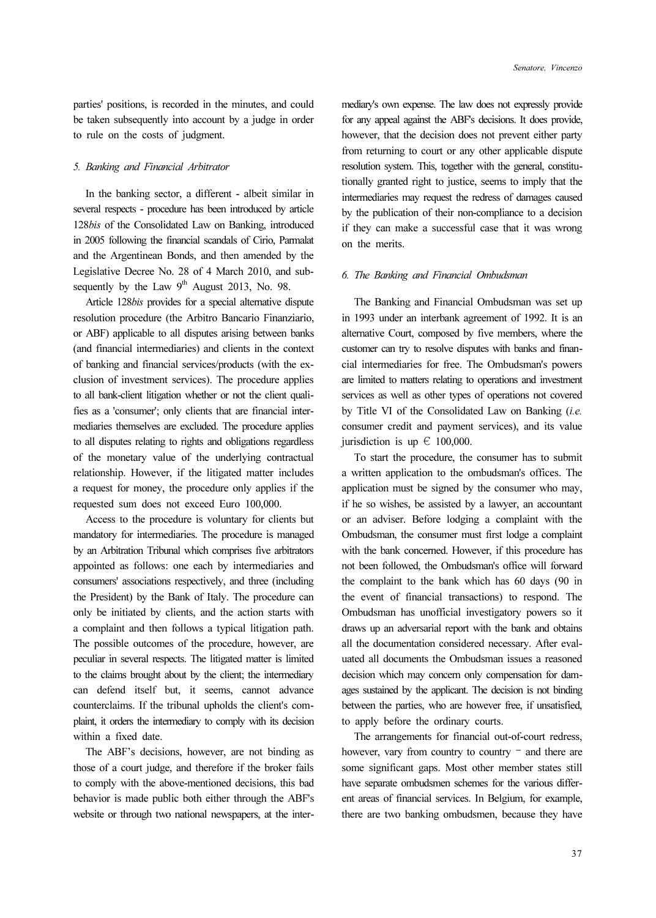parties' positions, is recorded in the minutes, and could be taken subsequently into account by a judge in order to rule on the costs of judgment.

### 5. Banking and Financial Arbitrator

In the banking sector, a different - albeit similar in several respects - procedure has been introduced by article 128bis of the Consolidated Law on Banking, introduced in 2005 following the financial scandals of Cirio, Parmalat and the Argentinean Bonds, and then amended by the Legislative Decree No. 28 of 4 March 2010, and subsequently by the Law  $9^{th}$  August 2013, No. 98.

Article 128bis provides for a special alternative dispute resolution procedure (the Arbitro Bancario Finanziario, or ABF) applicable to all disputes arising between banks (and financial intermediaries) and clients in the context of banking and financial services/products (with the exclusion of investment services). The procedure applies to all bank-client litigation whether or not the client qualifies as a 'consumer'; only clients that are financial intermediaries themselves are excluded. The procedure applies to all disputes relating to rights and obligations regardless of the monetary value of the underlying contractual relationship. However, if the litigated matter includes a request for money, the procedure only applies if the requested sum does not exceed Euro 100,000.

Access to the procedure is voluntary for clients but mandatory for intermediaries. The procedure is managed by an Arbitration Tribunal which comprises five arbitrators appointed as follows: one each by intermediaries and consumers' associations respectively, and three (including the President) by the Bank of Italy. The procedure can only be initiated by clients, and the action starts with a complaint and then follows a typical litigation path. The possible outcomes of the procedure, however, are peculiar in several respects. The litigated matter is limited to the claims brought about by the client; the intermediary can defend itself but, it seems, cannot advance counterclaims. If the tribunal upholds the client's complaint, it orders the intermediary to comply with its decision within a fixed date.

The ABF's decisions, however, are not binding as those of a court judge, and therefore if the broker fails to comply with the above-mentioned decisions, this bad behavior is made public both either through the ABF's website or through two national newspapers, at the intermediary's own expense. The law does not expressly provide for any appeal against the ABF's decisions. It does provide, however, that the decision does not prevent either party from returning to court or any other applicable dispute resolution system. This, together with the general, constitutionally granted right to justice, seems to imply that the intermediaries may request the redress of damages caused by the publication of their non-compliance to a decision if they can make a successful case that it was wrong on the merits.

### 6. The Banking and Financial Ombudsman

The Banking and Financial Ombudsman was set up in 1993 under an interbank agreement of 1992. It is an alternative Court, composed by five members, where the customer can try to resolve disputes with banks and financial intermediaries for free. The Ombudsman's powers are limited to matters relating to operations and investment services as well as other types of operations not covered by Title VI of the Consolidated Law on Banking (i.e. consumer credit and payment services), and its value jurisdiction is up  $\in$  100,000.

To start the procedure, the consumer has to submit a written application to the ombudsman's offices. The application must be signed by the consumer who may, if he so wishes, be assisted by a lawyer, an accountant or an adviser. Before lodging a complaint with the Ombudsman, the consumer must first lodge a complaint with the bank concerned. However, if this procedure has not been followed, the Ombudsman's office will forward the complaint to the bank which has 60 days (90 in the event of financial transactions) to respond. The Ombudsman has unofficial investigatory powers so it draws up an adversarial report with the bank and obtains all the documentation considered necessary. After evaluated all documents the Ombudsman issues a reasoned decision which may concern only compensation for damages sustained by the applicant. The decision is not binding between the parties, who are however free, if unsatisfied, to apply before the ordinary courts.

The arrangements for financial out-of-court redress, however, vary from country to country  $=$  and there are some significant gaps. Most other member states still have separate ombudsmen schemes for the various different areas of financial services. In Belgium, for example, there are two banking ombudsmen, because they have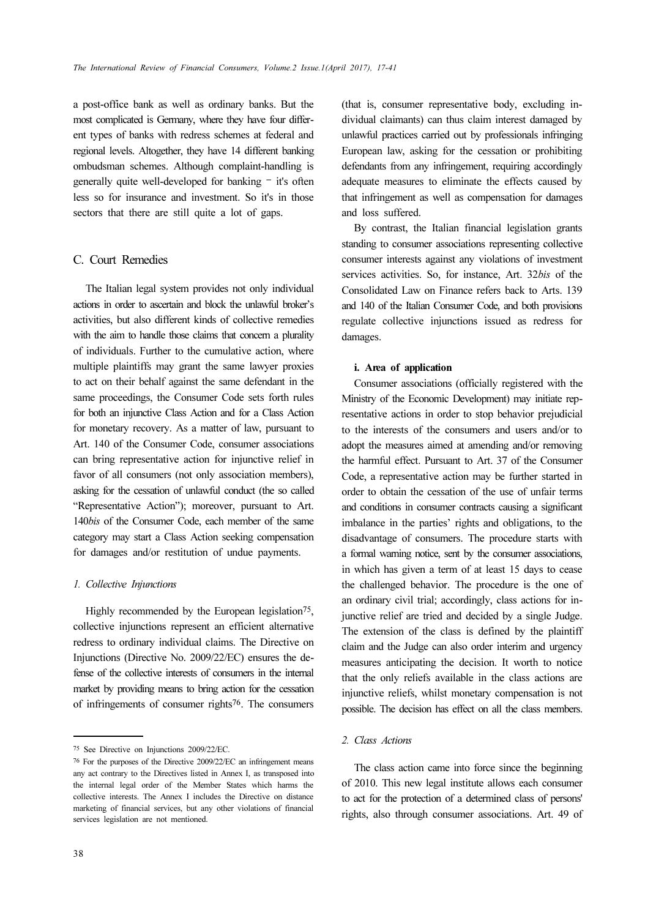a post-office bank as well as ordinary banks. But the most complicated is Germany, where they have four different types of banks with redress schemes at federal and regional levels. Altogether, they have 14 different banking ombudsman schemes. Although complaint-handling is generally quite well-developed for banking – it's often less so for insurance and investment. So it's in those sectors that there are still quite a lot of gaps.

## C. Court Remedies

The Italian legal system provides not only individual actions in order to ascertain and block the unlawful broker's activities, but also different kinds of collective remedies with the aim to handle those claims that concern a plurality of individuals. Further to the cumulative action, where multiple plaintiffs may grant the same lawyer proxies to act on their behalf against the same defendant in the same proceedings, the Consumer Code sets forth rules for both an injunctive Class Action and for a Class Action for monetary recovery. As a matter of law, pursuant to Art. 140 of the Consumer Code, consumer associations can bring representative action for injunctive relief in favor of all consumers (not only association members), asking for the cessation of unlawful conduct (the so called "Representative Action"); moreover, pursuant to Art. 140bis of the Consumer Code, each member of the same category may start a Class Action seeking compensation for damages and/or restitution of undue payments.

### 1. Collective Injunctions

Highly recommended by the European legislation<sup>75</sup>, collective injunctions represent an efficient alternative redress to ordinary individual claims. The Directive on Injunctions (Directive No. 2009/22/EC) ensures the defense of the collective interests of consumers in the internal market by providing means to bring action for the cessation of infringements of consumer rights76. The consumers

(that is, consumer representative body, excluding individual claimants) can thus claim interest damaged by unlawful practices carried out by professionals infringing European law, asking for the cessation or prohibiting defendants from any infringement, requiring accordingly adequate measures to eliminate the effects caused by that infringement as well as compensation for damages and loss suffered.

By contrast, the Italian financial legislation grants standing to consumer associations representing collective consumer interests against any violations of investment services activities. So, for instance, Art. 32bis of the Consolidated Law on Finance refers back to Arts. 139 and 140 of the Italian Consumer Code, and both provisions regulate collective injunctions issued as redress for damages.

#### i. Area of application

Consumer associations (officially registered with the Ministry of the Economic Development) may initiate representative actions in order to stop behavior prejudicial to the interests of the consumers and users and/or to adopt the measures aimed at amending and/or removing the harmful effect. Pursuant to Art. 37 of the Consumer Code, a representative action may be further started in order to obtain the cessation of the use of unfair terms and conditions in consumer contracts causing a significant imbalance in the parties' rights and obligations, to the disadvantage of consumers. The procedure starts with a formal warning notice, sent by the consumer associations, in which has given a term of at least 15 days to cease the challenged behavior. The procedure is the one of an ordinary civil trial; accordingly, class actions for injunctive relief are tried and decided by a single Judge. The extension of the class is defined by the plaintiff claim and the Judge can also order interim and urgency measures anticipating the decision. It worth to notice that the only reliefs available in the class actions are injunctive reliefs, whilst monetary compensation is not possible. The decision has effect on all the class members.

## 2. Class Actions

The class action came into force since the beginning of 2010. This new legal institute allows each consumer to act for the protection of a determined class of persons' rights, also through consumer associations. Art. 49 of

<sup>75</sup> See Directive on Injunctions 2009/22/EC.

<sup>76</sup> For the purposes of the Directive 2009/22/EC an infringement means any act contrary to the Directives listed in Annex I, as transposed into the internal legal order of the Member States which harms the collective interests. The Annex I includes the Directive on distance marketing of financial services, but any other violations of financial services legislation are not mentioned.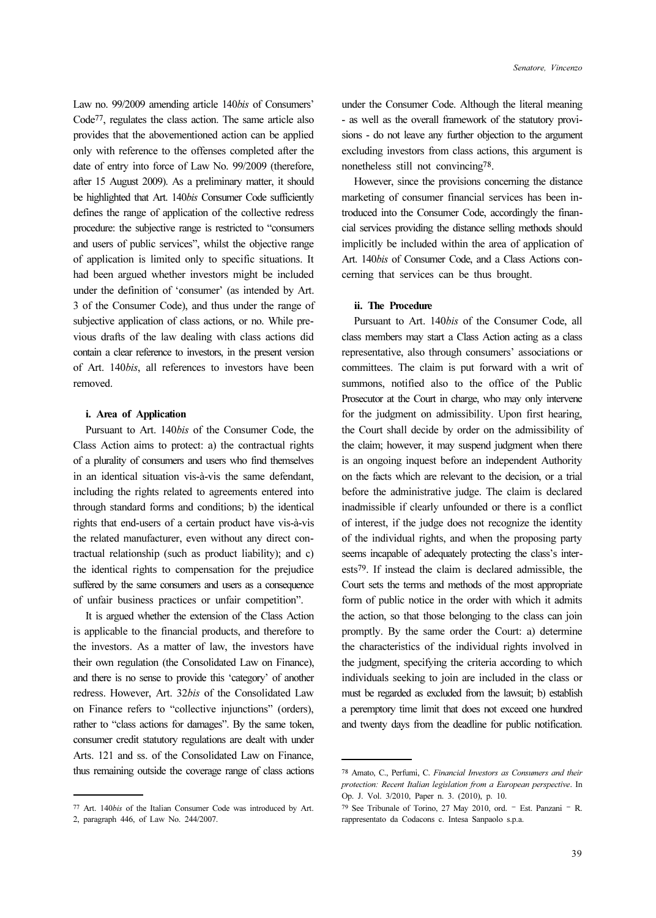Law no. 99/2009 amending article 140bis of Consumers' Code77, regulates the class action. The same article also provides that the abovementioned action can be applied only with reference to the offenses completed after the date of entry into force of Law No. 99/2009 (therefore, after 15 August 2009). As a preliminary matter, it should be highlighted that Art. 140bis Consumer Code sufficiently defines the range of application of the collective redress procedure: the subjective range is restricted to "consumers and users of public services", whilst the objective range of application is limited only to specific situations. It had been argued whether investors might be included under the definition of 'consumer' (as intended by Art. 3 of the Consumer Code), and thus under the range of subjective application of class actions, or no. While previous drafts of the law dealing with class actions did contain a clear reference to investors, in the present version of Art. 140bis, all references to investors have been removed.

#### i. Area of Application

Pursuant to Art. 140bis of the Consumer Code, the Class Action aims to protect: a) the contractual rights of a plurality of consumers and users who find themselves in an identical situation vis-à-vis the same defendant, including the rights related to agreements entered into through standard forms and conditions; b) the identical rights that end-users of a certain product have vis-à-vis the related manufacturer, even without any direct contractual relationship (such as product liability); and c) the identical rights to compensation for the prejudice suffered by the same consumers and users as a consequence of unfair business practices or unfair competition".

It is argued whether the extension of the Class Action is applicable to the financial products, and therefore to the investors. As a matter of law, the investors have their own regulation (the Consolidated Law on Finance), and there is no sense to provide this 'category' of another redress. However, Art. 32bis of the Consolidated Law on Finance refers to "collective injunctions" (orders), rather to "class actions for damages". By the same token, consumer credit statutory regulations are dealt with under Arts. 121 and ss. of the Consolidated Law on Finance, thus remaining outside the coverage range of class actions

under the Consumer Code. Although the literal meaning - as well as the overall framework of the statutory provisions - do not leave any further objection to the argument excluding investors from class actions, this argument is nonetheless still not convincing78.

However, since the provisions concerning the distance marketing of consumer financial services has been introduced into the Consumer Code, accordingly the financial services providing the distance selling methods should implicitly be included within the area of application of Art. 140bis of Consumer Code, and a Class Actions concerning that services can be thus brought.

## ii. The Procedure

Pursuant to Art. 140bis of the Consumer Code, all class members may start a Class Action acting as a class representative, also through consumers' associations or committees. The claim is put forward with a writ of summons, notified also to the office of the Public Prosecutor at the Court in charge, who may only intervene for the judgment on admissibility. Upon first hearing, the Court shall decide by order on the admissibility of the claim; however, it may suspend judgment when there is an ongoing inquest before an independent Authority on the facts which are relevant to the decision, or a trial before the administrative judge. The claim is declared inadmissible if clearly unfounded or there is a conflict of interest, if the judge does not recognize the identity of the individual rights, and when the proposing party seems incapable of adequately protecting the class's interests79. If instead the claim is declared admissible, the Court sets the terms and methods of the most appropriate form of public notice in the order with which it admits the action, so that those belonging to the class can join promptly. By the same order the Court: a) determine the characteristics of the individual rights involved in the judgment, specifying the criteria according to which individuals seeking to join are included in the class or must be regarded as excluded from the lawsuit; b) establish a peremptory time limit that does not exceed one hundred and twenty days from the deadline for public notification.

<sup>77</sup> Art. 140bis of the Italian Consumer Code was introduced by Art. 2, paragraph 446, of Law No. 244/2007.

<sup>78</sup> Amato, C., Perfumi, C. Financial Investors as Consumers and their protection: Recent Italian legislation from a European perspective. In Op. J. Vol. 3/2010, Paper n. 3. (2010), p. 10.

<sup>79</sup> See Tribunale of Torino, 27 May 2010, ord. – Est. Panzani – R. rappresentato da Codacons c. Intesa Sanpaolo s.p.a.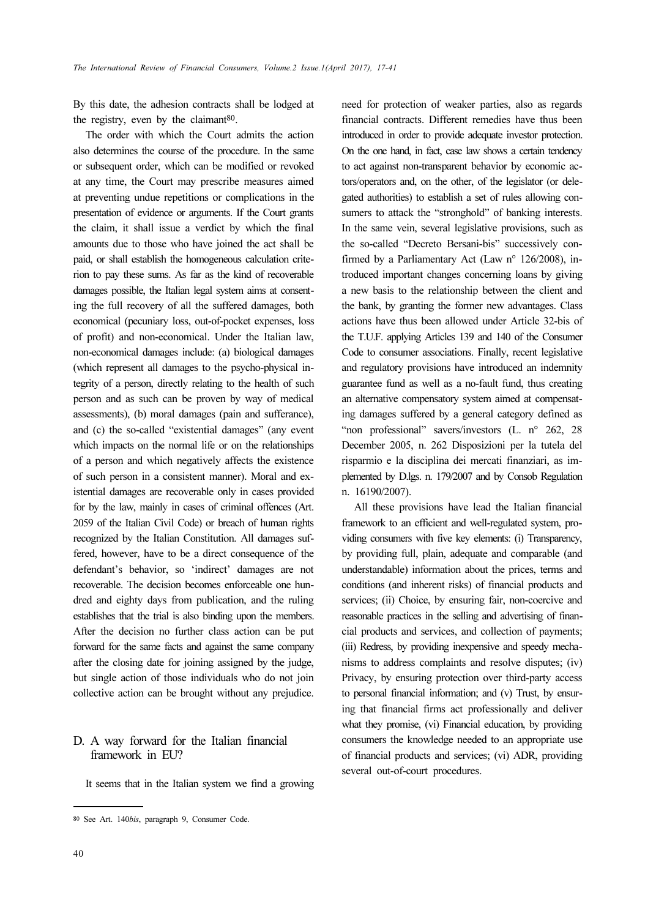By this date, the adhesion contracts shall be lodged at the registry, even by the claimant<sup>80</sup>.

The order with which the Court admits the action also determines the course of the procedure. In the same or subsequent order, which can be modified or revoked at any time, the Court may prescribe measures aimed at preventing undue repetitions or complications in the presentation of evidence or arguments. If the Court grants the claim, it shall issue a verdict by which the final amounts due to those who have joined the act shall be paid, or shall establish the homogeneous calculation criterion to pay these sums. As far as the kind of recoverable damages possible, the Italian legal system aims at consenting the full recovery of all the suffered damages, both economical (pecuniary loss, out-of-pocket expenses, loss of profit) and non-economical. Under the Italian law, non-economical damages include: (a) biological damages (which represent all damages to the psycho-physical integrity of a person, directly relating to the health of such person and as such can be proven by way of medical assessments), (b) moral damages (pain and sufferance), and (c) the so-called "existential damages" (any event which impacts on the normal life or on the relationships of a person and which negatively affects the existence of such person in a consistent manner). Moral and existential damages are recoverable only in cases provided for by the law, mainly in cases of criminal offences (Art. 2059 of the Italian Civil Code) or breach of human rights recognized by the Italian Constitution. All damages suffered, however, have to be a direct consequence of the defendant's behavior, so 'indirect' damages are not recoverable. The decision becomes enforceable one hundred and eighty days from publication, and the ruling establishes that the trial is also binding upon the members. After the decision no further class action can be put forward for the same facts and against the same company after the closing date for joining assigned by the judge, but single action of those individuals who do not join collective action can be brought without any prejudice.

# D. A way forward for the Italian financial framework in EU?

It seems that in the Italian system we find a growing

need for protection of weaker parties, also as regards financial contracts. Different remedies have thus been introduced in order to provide adequate investor protection. On the one hand, in fact, case law shows a certain tendency to act against non-transparent behavior by economic actors/operators and, on the other, of the legislator (or delegated authorities) to establish a set of rules allowing consumers to attack the "stronghold" of banking interests. In the same vein, several legislative provisions, such as the so-called "Decreto Bersani-bis" successively confirmed by a Parliamentary Act (Law n° 126/2008), introduced important changes concerning loans by giving a new basis to the relationship between the client and the bank, by granting the former new advantages. Class actions have thus been allowed under Article 32-bis of the T.U.F. applying Articles 139 and 140 of the Consumer Code to consumer associations. Finally, recent legislative and regulatory provisions have introduced an indemnity guarantee fund as well as a no-fault fund, thus creating an alternative compensatory system aimed at compensating damages suffered by a general category defined as "non professional" savers/investors (L. n° 262, 28 December 2005, n. 262 Disposizioni per la tutela del risparmio e la disciplina dei mercati finanziari, as implemented by D.lgs. n. 179/2007 and by Consob Regulation n. 16190/2007).

All these provisions have lead the Italian financial framework to an efficient and well-regulated system, providing consumers with five key elements: (i) Transparency, by providing full, plain, adequate and comparable (and understandable) information about the prices, terms and conditions (and inherent risks) of financial products and services; (ii) Choice, by ensuring fair, non-coercive and reasonable practices in the selling and advertising of financial products and services, and collection of payments; (iii) Redress, by providing inexpensive and speedy mechanisms to address complaints and resolve disputes; (iv) Privacy, by ensuring protection over third-party access to personal financial information; and (v) Trust, by ensuring that financial firms act professionally and deliver what they promise, (vi) Financial education, by providing consumers the knowledge needed to an appropriate use of financial products and services; (vi) ADR, providing several out-of-court procedures.

<sup>80</sup> See Art. 140bis, paragraph 9, Consumer Code.